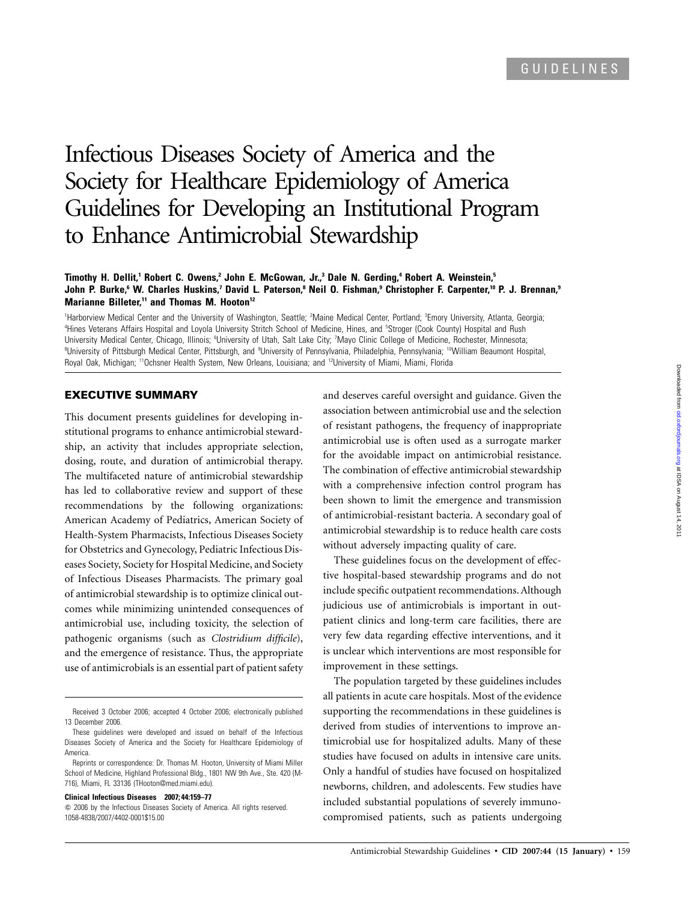# Infectious Diseases Society of America and the Society for Healthcare Epidemiology of America Guidelines for Developing an Institutional Program to Enhance Antimicrobial Stewardship

# **Timothy H. Dellit,1 Robert C. Owens,2 John E. McGowan, Jr.,3 Dale N. Gerding,4 Robert A. Weinstein,5 John P. Burke,6 W. Charles Huskins,7 David L. Paterson,8 Neil O. Fishman,9 Christopher F. Carpenter,10 P. J. Brennan,9 Marianne Billeter,<sup>11</sup> and Thomas M. Hooton<sup>12</sup>**

<sup>1</sup>Harborview Medical Center and the University of Washington, Seattle; <sup>2</sup>Maine Medical Center, Portland; <sup>3</sup>Emory University, Atlanta, Georgia; 4 Hines Veterans Affairs Hospital and Loyola University Stritch School of Medicine, Hines, and <sup>5</sup> Stroger (Cook County) Hospital and Rush University Medical Center, Chicago, Illinois; <sup>6</sup>University of Utah, Salt Lake City; 7Mayo Clinic College of Medicine, Rochester, Minnesota; <sup>8</sup>University of Pittsburgh Medical Center, Pittsburgh, and <sup>9</sup>University of Pennsylvania, Philadelphia, Pennsylvania; <sup>10</sup>William Beaumont Hospital, Royal Oak, Michigan; 11Ochsner Health System, New Orleans, Louisiana; and 12University of Miami, Miami, Florida

# **EXECUTIVE SUMMARY**

This document presents guidelines for developing institutional programs to enhance antimicrobial stewardship, an activity that includes appropriate selection, dosing, route, and duration of antimicrobial therapy. The multifaceted nature of antimicrobial stewardship has led to collaborative review and support of these recommendations by the following organizations: American Academy of Pediatrics, American Society of Health-System Pharmacists, Infectious Diseases Society for Obstetrics and Gynecology, Pediatric Infectious Diseases Society, Society for Hospital Medicine, and Society of Infectious Diseases Pharmacists. The primary goal of antimicrobial stewardship is to optimize clinical outcomes while minimizing unintended consequences of antimicrobial use, including toxicity, the selection of pathogenic organisms (such as *Clostridium difficile*), and the emergence of resistance. Thus, the appropriate use of antimicrobials is an essential part of patient safety

#### **Clinical Infectious Diseases 2007; 44:159–77**

and deserves careful oversight and guidance. Given the association between antimicrobial use and the selection of resistant pathogens, the frequency of inappropriate antimicrobial use is often used as a surrogate marker for the avoidable impact on antimicrobial resistance. The combination of effective antimicrobial stewardship with a comprehensive infection control program has been shown to limit the emergence and transmission of antimicrobial-resistant bacteria. A secondary goal of antimicrobial stewardship is to reduce health care costs without adversely impacting quality of care.

These guidelines focus on the development of effective hospital-based stewardship programs and do not include specific outpatient recommendations. Although judicious use of antimicrobials is important in outpatient clinics and long-term care facilities, there are very few data regarding effective interventions, and it is unclear which interventions are most responsible for improvement in these settings.

The population targeted by these guidelines includes all patients in acute care hospitals. Most of the evidence supporting the recommendations in these guidelines is derived from studies of interventions to improve antimicrobial use for hospitalized adults. Many of these studies have focused on adults in intensive care units. Only a handful of studies have focused on hospitalized newborns, children, and adolescents. Few studies have included substantial populations of severely immunocompromised patients, such as patients undergoing

Received 3 October 2006; accepted 4 October 2006; electronically published 13 December 2006.

These guidelines were developed and issued on behalf of the Infectious Diseases Society of America and the Society for Healthcare Epidemiology of America.

Reprints or correspondence: Dr. Thomas M. Hooton, University of Miami Miller School of Medicine, Highland Professional Bldg., 1801 NW 9th Ave., Ste. 420 (M-716), Miami, FL 33136 (THooton@med.miami.edu).

 $\odot$  2006 by the Infectious Diseases Society of America. All rights reserved. 1058-4838/2007/4402-0001\$15.00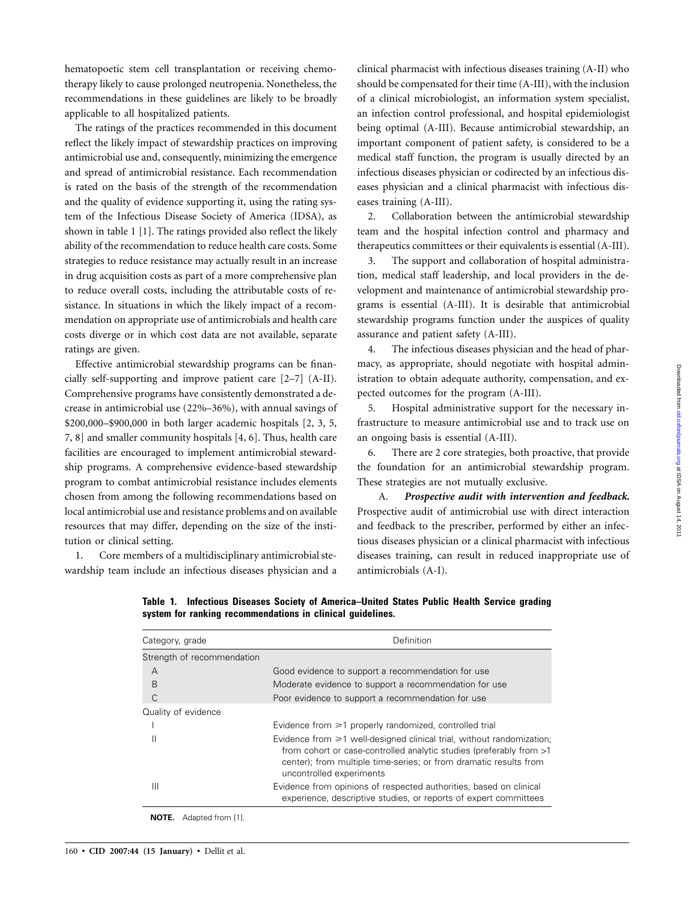hematopoetic stem cell transplantation or receiving chemotherapy likely to cause prolonged neutropenia. Nonetheless, the recommendations in these guidelines are likely to be broadly applicable to all hospitalized patients.

The ratings of the practices recommended in this document reflect the likely impact of stewardship practices on improving antimicrobial use and, consequently, minimizing the emergence and spread of antimicrobial resistance. Each recommendation is rated on the basis of the strength of the recommendation and the quality of evidence supporting it, using the rating system of the Infectious Disease Society of America (IDSA), as shown in table 1 [1]. The ratings provided also reflect the likely ability of the recommendation to reduce health care costs. Some strategies to reduce resistance may actually result in an increase in drug acquisition costs as part of a more comprehensive plan to reduce overall costs, including the attributable costs of resistance. In situations in which the likely impact of a recommendation on appropriate use of antimicrobials and health care costs diverge or in which cost data are not available, separate ratings are given.

Effective antimicrobial stewardship programs can be financially self-supporting and improve patient care [2–7] (A-II). Comprehensive programs have consistently demonstrated a decrease in antimicrobial use (22%–36%), with annual savings of \$200,000–\$900,000 in both larger academic hospitals [2, 3, 5, 7, 8] and smaller community hospitals [4, 6]. Thus, health care facilities are encouraged to implement antimicrobial stewardship programs. A comprehensive evidence-based stewardship program to combat antimicrobial resistance includes elements chosen from among the following recommendations based on local antimicrobial use and resistance problems and on available resources that may differ, depending on the size of the institution or clinical setting.

1. Core members of a multidisciplinary antimicrobial stewardship team include an infectious diseases physician and a

clinical pharmacist with infectious diseases training (A-II) who should be compensated for their time (A-III), with the inclusion of a clinical microbiologist, an information system specialist, an infection control professional, and hospital epidemiologist being optimal (A-III). Because antimicrobial stewardship, an important component of patient safety, is considered to be a medical staff function, the program is usually directed by an infectious diseases physician or codirected by an infectious diseases physician and a clinical pharmacist with infectious diseases training (A-III).

2. Collaboration between the antimicrobial stewardship team and the hospital infection control and pharmacy and therapeutics committees or their equivalents is essential (A-III).

3. The support and collaboration of hospital administration, medical staff leadership, and local providers in the development and maintenance of antimicrobial stewardship programs is essential (A-III). It is desirable that antimicrobial stewardship programs function under the auspices of quality assurance and patient safety (A-III).

4. The infectious diseases physician and the head of pharmacy, as appropriate, should negotiate with hospital administration to obtain adequate authority, compensation, and expected outcomes for the program (A-III).

5. Hospital administrative support for the necessary infrastructure to measure antimicrobial use and to track use on an ongoing basis is essential (A-III).

6. There are 2 core strategies, both proactive, that provide the foundation for an antimicrobial stewardship program. These strategies are not mutually exclusive.

A. *Prospective audit with intervention and feedback.* Prospective audit of antimicrobial use with direct interaction and feedback to the prescriber, performed by either an infectious diseases physician or a clinical pharmacist with infectious diseases training, can result in reduced inappropriate use of antimicrobials (A-I).

**Table 1. Infectious Diseases Society of America–United States Public Health Service grading system for ranking recommendations in clinical guidelines.**

| Category, grade            | Definition                                                                                                                                                                                                                                          |
|----------------------------|-----------------------------------------------------------------------------------------------------------------------------------------------------------------------------------------------------------------------------------------------------|
| Strength of recommendation |                                                                                                                                                                                                                                                     |
| A                          | Good evidence to support a recommendation for use                                                                                                                                                                                                   |
| B                          | Moderate evidence to support a recommendation for use                                                                                                                                                                                               |
| C                          | Poor evidence to support a recommendation for use                                                                                                                                                                                                   |
| Quality of evidence        |                                                                                                                                                                                                                                                     |
|                            | Evidence from $\geq 1$ properly randomized, controlled trial                                                                                                                                                                                        |
| Ш                          | Evidence from $\geq 1$ well-designed clinical trial, without randomization;<br>from cohort or case-controlled analytic studies (preferably from >1<br>center); from multiple time-series; or from dramatic results from<br>uncontrolled experiments |
| Ш                          | Evidence from opinions of respected authorities, based on clinical<br>experience, descriptive studies, or reports of expert committees                                                                                                              |

**NOTE.** Adapted from [1].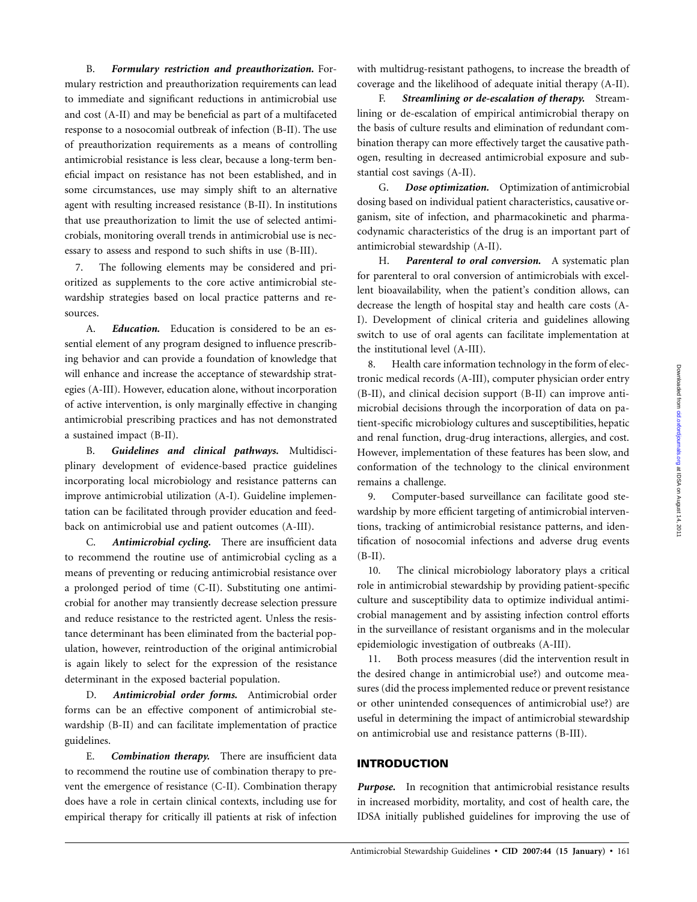B. *Formulary restriction and preauthorization.* Formulary restriction and preauthorization requirements can lead to immediate and significant reductions in antimicrobial use and cost (A-II) and may be beneficial as part of a multifaceted response to a nosocomial outbreak of infection (B-II). The use of preauthorization requirements as a means of controlling antimicrobial resistance is less clear, because a long-term beneficial impact on resistance has not been established, and in some circumstances, use may simply shift to an alternative agent with resulting increased resistance (B-II). In institutions that use preauthorization to limit the use of selected antimicrobials, monitoring overall trends in antimicrobial use is necessary to assess and respond to such shifts in use (B-III).

7. The following elements may be considered and prioritized as supplements to the core active antimicrobial stewardship strategies based on local practice patterns and resources.

A. *Education.* Education is considered to be an essential element of any program designed to influence prescribing behavior and can provide a foundation of knowledge that will enhance and increase the acceptance of stewardship strategies (A-III). However, education alone, without incorporation of active intervention, is only marginally effective in changing antimicrobial prescribing practices and has not demonstrated a sustained impact (B-II).

B. *Guidelines and clinical pathways.* Multidisciplinary development of evidence-based practice guidelines incorporating local microbiology and resistance patterns can improve antimicrobial utilization (A-I). Guideline implementation can be facilitated through provider education and feedback on antimicrobial use and patient outcomes (A-III).

C. *Antimicrobial cycling.* There are insufficient data to recommend the routine use of antimicrobial cycling as a means of preventing or reducing antimicrobial resistance over a prolonged period of time (C-II). Substituting one antimicrobial for another may transiently decrease selection pressure and reduce resistance to the restricted agent. Unless the resistance determinant has been eliminated from the bacterial population, however, reintroduction of the original antimicrobial is again likely to select for the expression of the resistance determinant in the exposed bacterial population.

D. *Antimicrobial order forms.* Antimicrobial order forms can be an effective component of antimicrobial stewardship (B-II) and can facilitate implementation of practice guidelines.

E. *Combination therapy.* There are insufficient data to recommend the routine use of combination therapy to prevent the emergence of resistance (C-II). Combination therapy does have a role in certain clinical contexts, including use for empirical therapy for critically ill patients at risk of infection

with multidrug-resistant pathogens, to increase the breadth of coverage and the likelihood of adequate initial therapy (A-II).

F. *Streamlining or de-escalation of therapy.* Streamlining or de-escalation of empirical antimicrobial therapy on the basis of culture results and elimination of redundant combination therapy can more effectively target the causative pathogen, resulting in decreased antimicrobial exposure and substantial cost savings (A-II).

G. *Dose optimization.* Optimization of antimicrobial dosing based on individual patient characteristics, causative organism, site of infection, and pharmacokinetic and pharmacodynamic characteristics of the drug is an important part of antimicrobial stewardship (A-II).

H. *Parenteral to oral conversion.* A systematic plan for parenteral to oral conversion of antimicrobials with excellent bioavailability, when the patient's condition allows, can decrease the length of hospital stay and health care costs (A-I). Development of clinical criteria and guidelines allowing switch to use of oral agents can facilitate implementation at the institutional level (A-III).

8. Health care information technology in the form of electronic medical records (A-III), computer physician order entry (B-II), and clinical decision support (B-II) can improve antimicrobial decisions through the incorporation of data on patient-specific microbiology cultures and susceptibilities, hepatic and renal function, drug-drug interactions, allergies, and cost. However, implementation of these features has been slow, and conformation of the technology to the clinical environment remains a challenge.

9. Computer-based surveillance can facilitate good stewardship by more efficient targeting of antimicrobial interventions, tracking of antimicrobial resistance patterns, and identification of nosocomial infections and adverse drug events  $(B-II).$ 

10. The clinical microbiology laboratory plays a critical role in antimicrobial stewardship by providing patient-specific culture and susceptibility data to optimize individual antimicrobial management and by assisting infection control efforts in the surveillance of resistant organisms and in the molecular epidemiologic investigation of outbreaks (A-III).

11. Both process measures (did the intervention result in the desired change in antimicrobial use?) and outcome measures (did the process implemented reduce or prevent resistance or other unintended consequences of antimicrobial use?) are useful in determining the impact of antimicrobial stewardship on antimicrobial use and resistance patterns (B-III).

# **INTRODUCTION**

*Purpose.* In recognition that antimicrobial resistance results in increased morbidity, mortality, and cost of health care, the IDSA initially published guidelines for improving the use of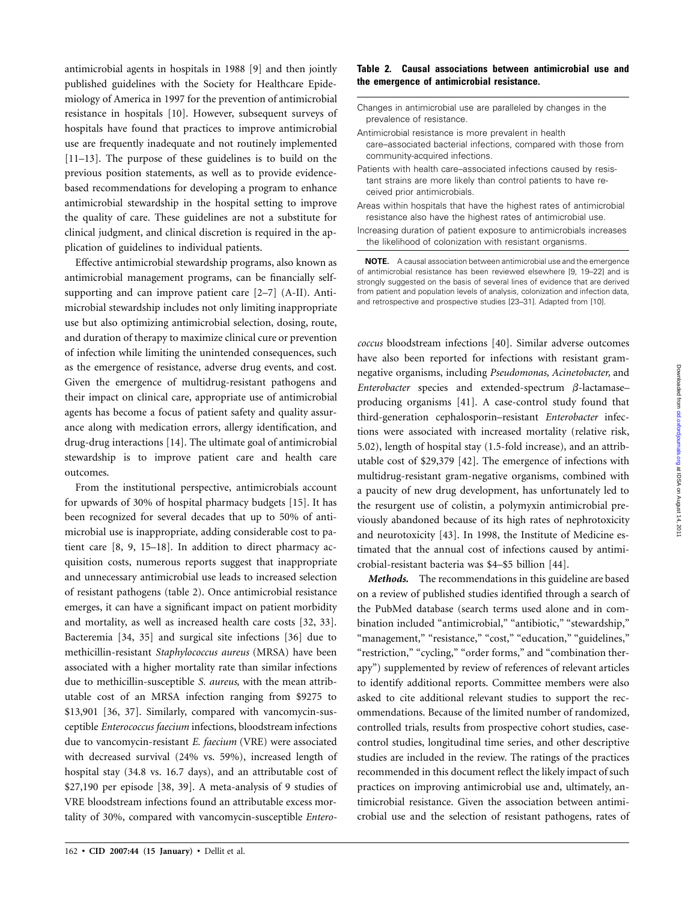antimicrobial agents in hospitals in 1988 [9] and then jointly published guidelines with the Society for Healthcare Epidemiology of America in 1997 for the prevention of antimicrobial resistance in hospitals [10]. However, subsequent surveys of hospitals have found that practices to improve antimicrobial use are frequently inadequate and not routinely implemented [11–13]. The purpose of these guidelines is to build on the previous position statements, as well as to provide evidencebased recommendations for developing a program to enhance antimicrobial stewardship in the hospital setting to improve the quality of care. These guidelines are not a substitute for clinical judgment, and clinical discretion is required in the application of guidelines to individual patients.

Effective antimicrobial stewardship programs, also known as antimicrobial management programs, can be financially selfsupporting and can improve patient care [2–7] (A-II). Antimicrobial stewardship includes not only limiting inappropriate use but also optimizing antimicrobial selection, dosing, route, and duration of therapy to maximize clinical cure or prevention of infection while limiting the unintended consequences, such as the emergence of resistance, adverse drug events, and cost. Given the emergence of multidrug-resistant pathogens and their impact on clinical care, appropriate use of antimicrobial agents has become a focus of patient safety and quality assurance along with medication errors, allergy identification, and drug-drug interactions [14]. The ultimate goal of antimicrobial stewardship is to improve patient care and health care outcomes.

From the institutional perspective, antimicrobials account for upwards of 30% of hospital pharmacy budgets [15]. It has been recognized for several decades that up to 50% of antimicrobial use is inappropriate, adding considerable cost to patient care [8, 9, 15–18]. In addition to direct pharmacy acquisition costs, numerous reports suggest that inappropriate and unnecessary antimicrobial use leads to increased selection of resistant pathogens (table 2). Once antimicrobial resistance emerges, it can have a significant impact on patient morbidity and mortality, as well as increased health care costs [32, 33]. Bacteremia [34, 35] and surgical site infections [36] due to methicillin-resistant *Staphylococcus aureus* (MRSA) have been associated with a higher mortality rate than similar infections due to methicillin-susceptible *S. aureus,* with the mean attributable cost of an MRSA infection ranging from \$9275 to \$13,901 [36, 37]. Similarly, compared with vancomycin-susceptible *Enterococcus faecium* infections, bloodstream infections due to vancomycin-resistant *E. faecium* (VRE) were associated with decreased survival (24% vs. 59%), increased length of hospital stay (34.8 vs. 16.7 days), and an attributable cost of \$27,190 per episode [38, 39]. A meta-analysis of 9 studies of VRE bloodstream infections found an attributable excess mortality of 30%, compared with vancomycin-susceptible *Entero-*

# **Table 2. Causal associations between antimicrobial use and the emergence of antimicrobial resistance.**

- Changes in antimicrobial use are paralleled by changes in the prevalence of resistance.
- Antimicrobial resistance is more prevalent in health care–associated bacterial infections, compared with those from community-acquired infections.
- Patients with health care–associated infections caused by resistant strains are more likely than control patients to have received prior antimicrobials.
- Areas within hospitals that have the highest rates of antimicrobial resistance also have the highest rates of antimicrobial use.
- Increasing duration of patient exposure to antimicrobials increases the likelihood of colonization with resistant organisms.

**NOTE.** A causal association between antimicrobial use and the emergence of antimicrobial resistance has been reviewed elsewhere [9, 19–22] and is strongly suggested on the basis of several lines of evidence that are derived from patient and population levels of analysis, colonization and infection data, and retrospective and prospective studies [23–31]. Adapted from [10].

*coccus* bloodstream infections [40]. Similar adverse outcomes have also been reported for infections with resistant gramnegative organisms, including *Pseudomonas, Acinetobacter,* and *Enterobacter* species and extended-spectrum  $\beta$ -lactamaseproducing organisms [41]. A case-control study found that third-generation cephalosporin–resistant *Enterobacter* infections were associated with increased mortality (relative risk, 5.02), length of hospital stay (1.5-fold increase), and an attributable cost of \$29,379 [42]. The emergence of infections with multidrug-resistant gram-negative organisms, combined with a paucity of new drug development, has unfortunately led to the resurgent use of colistin, a polymyxin antimicrobial previously abandoned because of its high rates of nephrotoxicity and neurotoxicity [43]. In 1998, the Institute of Medicine estimated that the annual cost of infections caused by antimicrobial-resistant bacteria was \$4–\$5 billion [44].

*Methods.* The recommendations in this guideline are based on a review of published studies identified through a search of the PubMed database (search terms used alone and in combination included "antimicrobial," "antibiotic," "stewardship," "management," "resistance," "cost," "education," "guidelines," "restriction," "cycling," "order forms," and "combination therapy") supplemented by review of references of relevant articles to identify additional reports. Committee members were also asked to cite additional relevant studies to support the recommendations. Because of the limited number of randomized, controlled trials, results from prospective cohort studies, casecontrol studies, longitudinal time series, and other descriptive studies are included in the review. The ratings of the practices recommended in this document reflect the likely impact of such practices on improving antimicrobial use and, ultimately, antimicrobial resistance. Given the association between antimicrobial use and the selection of resistant pathogens, rates of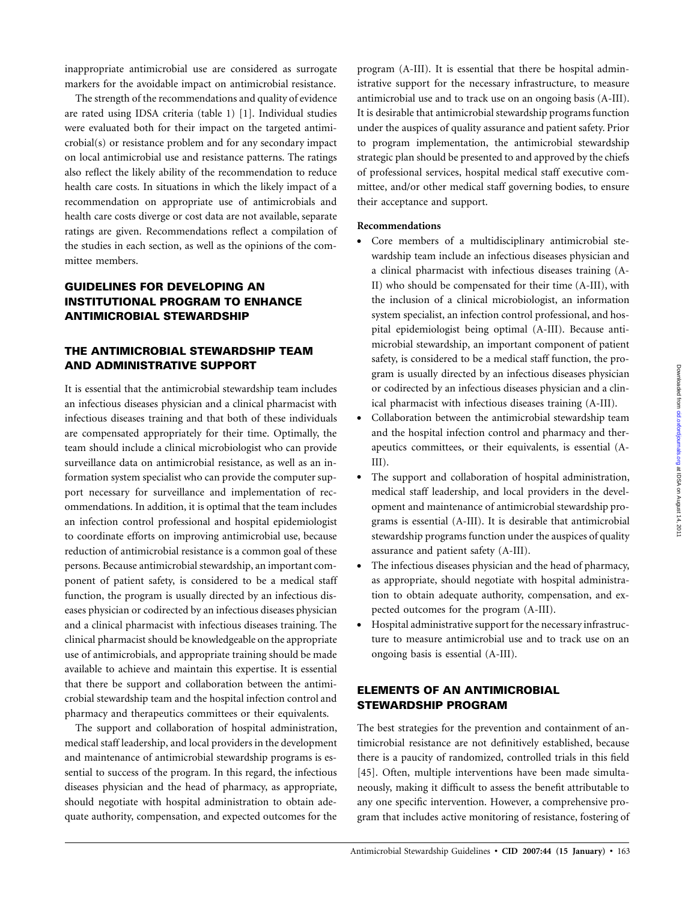inappropriate antimicrobial use are considered as surrogate markers for the avoidable impact on antimicrobial resistance.

The strength of the recommendations and quality of evidence are rated using IDSA criteria (table 1) [1]. Individual studies were evaluated both for their impact on the targeted antimicrobial(s) or resistance problem and for any secondary impact on local antimicrobial use and resistance patterns. The ratings also reflect the likely ability of the recommendation to reduce health care costs. In situations in which the likely impact of a recommendation on appropriate use of antimicrobials and health care costs diverge or cost data are not available, separate ratings are given. Recommendations reflect a compilation of the studies in each section, as well as the opinions of the committee members.

# **GUIDELINES FOR DEVELOPING AN INSTITUTIONAL PROGRAM TO ENHANCE ANTIMICROBIAL STEWARDSHIP**

# **THE ANTIMICROBIAL STEWARDSHIP TEAM AND ADMINISTRATIVE SUPPORT**

It is essential that the antimicrobial stewardship team includes an infectious diseases physician and a clinical pharmacist with infectious diseases training and that both of these individuals are compensated appropriately for their time. Optimally, the team should include a clinical microbiologist who can provide surveillance data on antimicrobial resistance, as well as an information system specialist who can provide the computer support necessary for surveillance and implementation of recommendations. In addition, it is optimal that the team includes an infection control professional and hospital epidemiologist to coordinate efforts on improving antimicrobial use, because reduction of antimicrobial resistance is a common goal of these persons. Because antimicrobial stewardship, an important component of patient safety, is considered to be a medical staff function, the program is usually directed by an infectious diseases physician or codirected by an infectious diseases physician and a clinical pharmacist with infectious diseases training. The clinical pharmacist should be knowledgeable on the appropriate use of antimicrobials, and appropriate training should be made available to achieve and maintain this expertise. It is essential that there be support and collaboration between the antimicrobial stewardship team and the hospital infection control and pharmacy and therapeutics committees or their equivalents.

The support and collaboration of hospital administration, medical staff leadership, and local providers in the development and maintenance of antimicrobial stewardship programs is essential to success of the program. In this regard, the infectious diseases physician and the head of pharmacy, as appropriate, should negotiate with hospital administration to obtain adequate authority, compensation, and expected outcomes for the program (A-III). It is essential that there be hospital administrative support for the necessary infrastructure, to measure antimicrobial use and to track use on an ongoing basis (A-III). It is desirable that antimicrobial stewardship programs function under the auspices of quality assurance and patient safety. Prior to program implementation, the antimicrobial stewardship strategic plan should be presented to and approved by the chiefs of professional services, hospital medical staff executive committee, and/or other medical staff governing bodies, to ensure their acceptance and support.

# **Recommendations**

- Core members of a multidisciplinary antimicrobial stewardship team include an infectious diseases physician and a clinical pharmacist with infectious diseases training (A-II) who should be compensated for their time (A-III), with the inclusion of a clinical microbiologist, an information system specialist, an infection control professional, and hospital epidemiologist being optimal (A-III). Because antimicrobial stewardship, an important component of patient safety, is considered to be a medical staff function, the program is usually directed by an infectious diseases physician or codirected by an infectious diseases physician and a clinical pharmacist with infectious diseases training (A-III).
- Collaboration between the antimicrobial stewardship team and the hospital infection control and pharmacy and therapeutics committees, or their equivalents, is essential (A-III).
- The support and collaboration of hospital administration, medical staff leadership, and local providers in the development and maintenance of antimicrobial stewardship programs is essential (A-III). It is desirable that antimicrobial stewardship programs function under the auspices of quality assurance and patient safety (A-III).
- The infectious diseases physician and the head of pharmacy, as appropriate, should negotiate with hospital administration to obtain adequate authority, compensation, and expected outcomes for the program (A-III).
- Hospital administrative support for the necessary infrastructure to measure antimicrobial use and to track use on an ongoing basis is essential (A-III).

# **ELEMENTS OF AN ANTIMICROBIAL STEWARDSHIP PROGRAM**

The best strategies for the prevention and containment of antimicrobial resistance are not definitively established, because there is a paucity of randomized, controlled trials in this field [45]. Often, multiple interventions have been made simultaneously, making it difficult to assess the benefit attributable to any one specific intervention. However, a comprehensive program that includes active monitoring of resistance, fostering of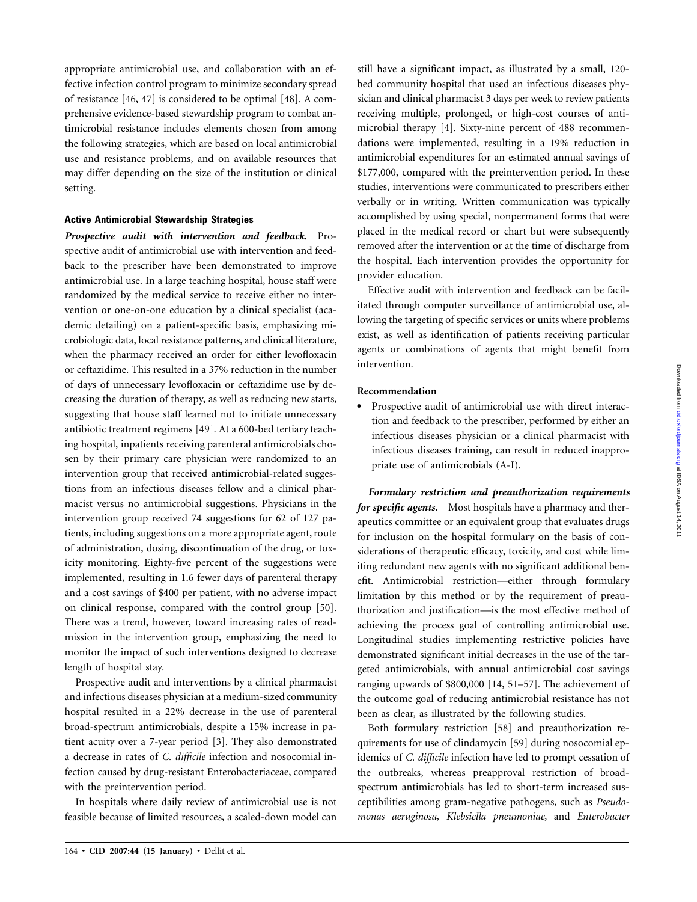appropriate antimicrobial use, and collaboration with an effective infection control program to minimize secondary spread of resistance [46, 47] is considered to be optimal [48]. A comprehensive evidence-based stewardship program to combat antimicrobial resistance includes elements chosen from among the following strategies, which are based on local antimicrobial use and resistance problems, and on available resources that may differ depending on the size of the institution or clinical setting.

#### **Active Antimicrobial Stewardship Strategies**

*Prospective audit with intervention and feedback.* Prospective audit of antimicrobial use with intervention and feedback to the prescriber have been demonstrated to improve antimicrobial use. In a large teaching hospital, house staff were randomized by the medical service to receive either no intervention or one-on-one education by a clinical specialist (academic detailing) on a patient-specific basis, emphasizing microbiologic data, local resistance patterns, and clinical literature, when the pharmacy received an order for either levofloxacin or ceftazidime. This resulted in a 37% reduction in the number of days of unnecessary levofloxacin or ceftazidime use by decreasing the duration of therapy, as well as reducing new starts, suggesting that house staff learned not to initiate unnecessary antibiotic treatment regimens [49]. At a 600-bed tertiary teaching hospital, inpatients receiving parenteral antimicrobials chosen by their primary care physician were randomized to an intervention group that received antimicrobial-related suggestions from an infectious diseases fellow and a clinical pharmacist versus no antimicrobial suggestions. Physicians in the intervention group received 74 suggestions for 62 of 127 patients, including suggestions on a more appropriate agent, route of administration, dosing, discontinuation of the drug, or toxicity monitoring. Eighty-five percent of the suggestions were implemented, resulting in 1.6 fewer days of parenteral therapy and a cost savings of \$400 per patient, with no adverse impact on clinical response, compared with the control group [50]. There was a trend, however, toward increasing rates of readmission in the intervention group, emphasizing the need to monitor the impact of such interventions designed to decrease length of hospital stay.

Prospective audit and interventions by a clinical pharmacist and infectious diseases physician at a medium-sized community hospital resulted in a 22% decrease in the use of parenteral broad-spectrum antimicrobials, despite a 15% increase in patient acuity over a 7-year period [3]. They also demonstrated a decrease in rates of *C. difficile* infection and nosocomial infection caused by drug-resistant Enterobacteriaceae, compared with the preintervention period.

In hospitals where daily review of antimicrobial use is not feasible because of limited resources, a scaled-down model can

still have a significant impact, as illustrated by a small, 120 bed community hospital that used an infectious diseases physician and clinical pharmacist 3 days per week to review patients receiving multiple, prolonged, or high-cost courses of antimicrobial therapy [4]. Sixty-nine percent of 488 recommendations were implemented, resulting in a 19% reduction in antimicrobial expenditures for an estimated annual savings of \$177,000, compared with the preintervention period. In these studies, interventions were communicated to prescribers either verbally or in writing. Written communication was typically accomplished by using special, nonpermanent forms that were placed in the medical record or chart but were subsequently removed after the intervention or at the time of discharge from the hospital. Each intervention provides the opportunity for provider education.

Effective audit with intervention and feedback can be facilitated through computer surveillance of antimicrobial use, allowing the targeting of specific services or units where problems exist, as well as identification of patients receiving particular agents or combinations of agents that might benefit from intervention.

## **Recommendation**

Prospective audit of antimicrobial use with direct interaction and feedback to the prescriber, performed by either an infectious diseases physician or a clinical pharmacist with infectious diseases training, can result in reduced inappropriate use of antimicrobials (A-I).

*Formulary restriction and preauthorization requirements for specific agents.* Most hospitals have a pharmacy and therapeutics committee or an equivalent group that evaluates drugs for inclusion on the hospital formulary on the basis of considerations of therapeutic efficacy, toxicity, and cost while limiting redundant new agents with no significant additional benefit. Antimicrobial restriction—either through formulary limitation by this method or by the requirement of preauthorization and justification—is the most effective method of achieving the process goal of controlling antimicrobial use. Longitudinal studies implementing restrictive policies have demonstrated significant initial decreases in the use of the targeted antimicrobials, with annual antimicrobial cost savings ranging upwards of \$800,000 [14, 51–57]. The achievement of the outcome goal of reducing antimicrobial resistance has not been as clear, as illustrated by the following studies.

Both formulary restriction [58] and preauthorization requirements for use of clindamycin [59] during nosocomial epidemics of *C. difficile* infection have led to prompt cessation of the outbreaks, whereas preapproval restriction of broadspectrum antimicrobials has led to short-term increased susceptibilities among gram-negative pathogens, such as *Pseudomonas aeruginosa, Klebsiella pneumoniae,* and *Enterobacter*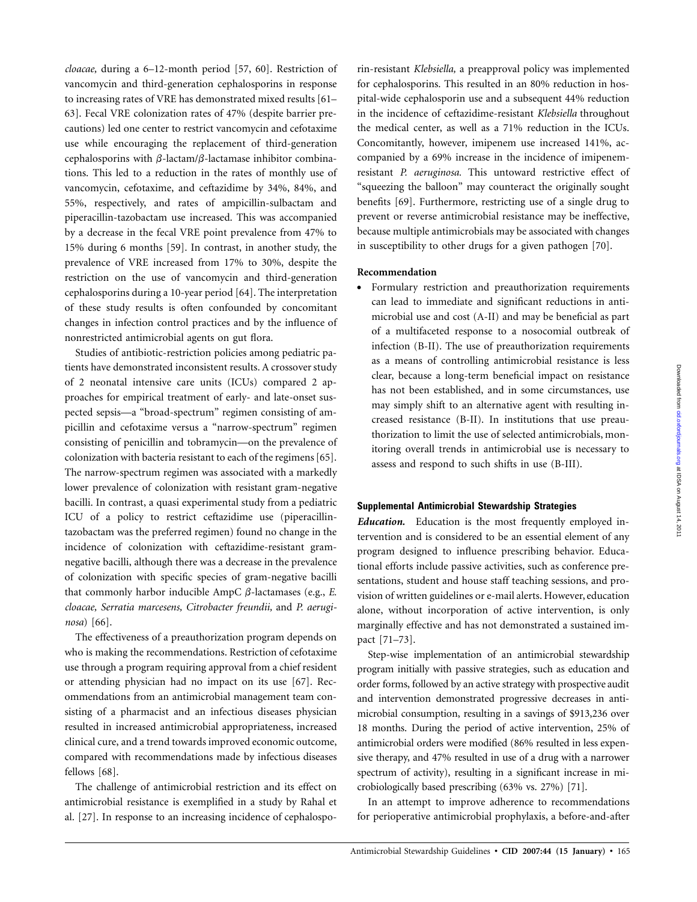*cloacae,* during a 6–12-month period [57, 60]. Restriction of vancomycin and third-generation cephalosporins in response to increasing rates of VRE has demonstrated mixed results [61– 63]. Fecal VRE colonization rates of 47% (despite barrier precautions) led one center to restrict vancomycin and cefotaxime use while encouraging the replacement of third-generation cephalosporins with  $\beta$ -lactam/ $\beta$ -lactamase inhibitor combinations. This led to a reduction in the rates of monthly use of vancomycin, cefotaxime, and ceftazidime by 34%, 84%, and 55%, respectively, and rates of ampicillin-sulbactam and piperacillin-tazobactam use increased. This was accompanied by a decrease in the fecal VRE point prevalence from 47% to 15% during 6 months [59]. In contrast, in another study, the prevalence of VRE increased from 17% to 30%, despite the restriction on the use of vancomycin and third-generation cephalosporins during a 10-year period [64]. The interpretation of these study results is often confounded by concomitant changes in infection control practices and by the influence of nonrestricted antimicrobial agents on gut flora.

Studies of antibiotic-restriction policies among pediatric patients have demonstrated inconsistent results. A crossover study of 2 neonatal intensive care units (ICUs) compared 2 approaches for empirical treatment of early- and late-onset suspected sepsis—a "broad-spectrum" regimen consisting of ampicillin and cefotaxime versus a "narrow-spectrum" regimen consisting of penicillin and tobramycin—on the prevalence of colonization with bacteria resistant to each of the regimens [65]. The narrow-spectrum regimen was associated with a markedly lower prevalence of colonization with resistant gram-negative bacilli. In contrast, a quasi experimental study from a pediatric ICU of a policy to restrict ceftazidime use (piperacillintazobactam was the preferred regimen) found no change in the incidence of colonization with ceftazidime-resistant gramnegative bacilli, although there was a decrease in the prevalence of colonization with specific species of gram-negative bacilli that commonly harbor inducible  $AmpC \beta$ -lactamases (e.g., *E. cloacae, Serratia marcesens, Citrobacter freundii,* and *P. aeruginosa*) [66].

The effectiveness of a preauthorization program depends on who is making the recommendations. Restriction of cefotaxime use through a program requiring approval from a chief resident or attending physician had no impact on its use [67]. Recommendations from an antimicrobial management team consisting of a pharmacist and an infectious diseases physician resulted in increased antimicrobial appropriateness, increased clinical cure, and a trend towards improved economic outcome, compared with recommendations made by infectious diseases fellows [68].

The challenge of antimicrobial restriction and its effect on antimicrobial resistance is exemplified in a study by Rahal et al. [27]. In response to an increasing incidence of cephalospo-

rin-resistant *Klebsiella,* a preapproval policy was implemented for cephalosporins. This resulted in an 80% reduction in hospital-wide cephalosporin use and a subsequent 44% reduction in the incidence of ceftazidime-resistant *Klebsiella* throughout the medical center, as well as a 71% reduction in the ICUs. Concomitantly, however, imipenem use increased 141%, accompanied by a 69% increase in the incidence of imipenemresistant *P. aeruginosa.* This untoward restrictive effect of "squeezing the balloon" may counteract the originally sought benefits [69]. Furthermore, restricting use of a single drug to prevent or reverse antimicrobial resistance may be ineffective, because multiple antimicrobials may be associated with changes in susceptibility to other drugs for a given pathogen [70].

#### **Recommendation**

• Formulary restriction and preauthorization requirements can lead to immediate and significant reductions in antimicrobial use and cost (A-II) and may be beneficial as part of a multifaceted response to a nosocomial outbreak of infection (B-II). The use of preauthorization requirements as a means of controlling antimicrobial resistance is less clear, because a long-term beneficial impact on resistance has not been established, and in some circumstances, use may simply shift to an alternative agent with resulting increased resistance (B-II). In institutions that use preauthorization to limit the use of selected antimicrobials, monitoring overall trends in antimicrobial use is necessary to assess and respond to such shifts in use (B-III).

#### **Supplemental Antimicrobial Stewardship Strategies**

*Education.* Education is the most frequently employed intervention and is considered to be an essential element of any program designed to influence prescribing behavior. Educational efforts include passive activities, such as conference presentations, student and house staff teaching sessions, and provision of written guidelines or e-mail alerts. However, education alone, without incorporation of active intervention, is only marginally effective and has not demonstrated a sustained impact [71–73].

Step-wise implementation of an antimicrobial stewardship program initially with passive strategies, such as education and order forms, followed by an active strategy with prospective audit and intervention demonstrated progressive decreases in antimicrobial consumption, resulting in a savings of \$913,236 over 18 months. During the period of active intervention, 25% of antimicrobial orders were modified (86% resulted in less expensive therapy, and 47% resulted in use of a drug with a narrower spectrum of activity), resulting in a significant increase in microbiologically based prescribing (63% vs. 27%) [71].

In an attempt to improve adherence to recommendations for perioperative antimicrobial prophylaxis, a before-and-after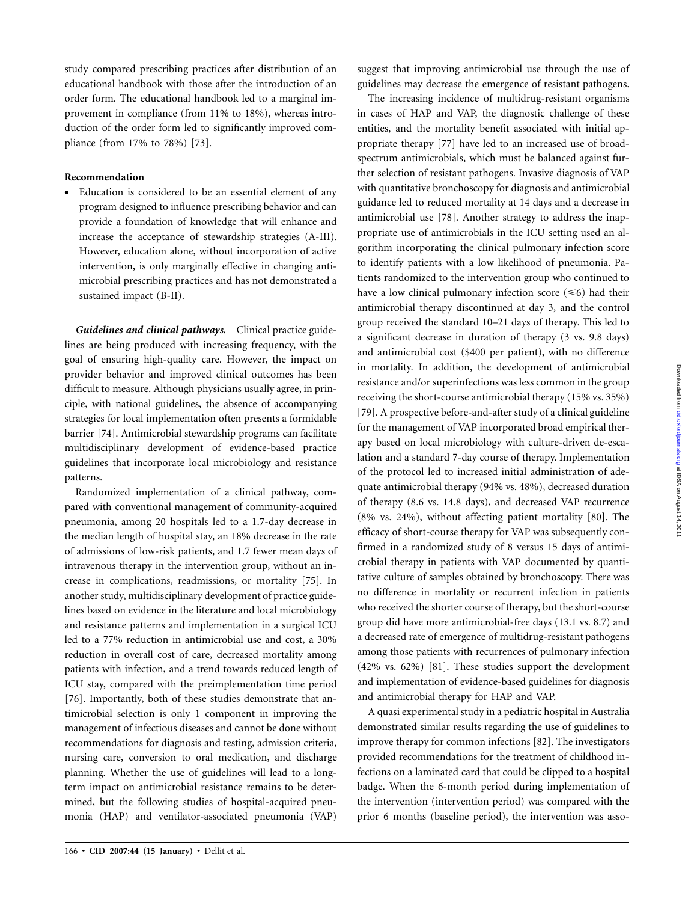study compared prescribing practices after distribution of an educational handbook with those after the introduction of an order form. The educational handbook led to a marginal improvement in compliance (from 11% to 18%), whereas introduction of the order form led to significantly improved compliance (from 17% to 78%) [73].

#### **Recommendation**

• Education is considered to be an essential element of any program designed to influence prescribing behavior and can provide a foundation of knowledge that will enhance and increase the acceptance of stewardship strategies (A-III). However, education alone, without incorporation of active intervention, is only marginally effective in changing antimicrobial prescribing practices and has not demonstrated a sustained impact (B-II).

*Guidelines and clinical pathways.* Clinical practice guidelines are being produced with increasing frequency, with the goal of ensuring high-quality care. However, the impact on provider behavior and improved clinical outcomes has been difficult to measure. Although physicians usually agree, in principle, with national guidelines, the absence of accompanying strategies for local implementation often presents a formidable barrier [74]. Antimicrobial stewardship programs can facilitate multidisciplinary development of evidence-based practice guidelines that incorporate local microbiology and resistance patterns.

Randomized implementation of a clinical pathway, compared with conventional management of community-acquired pneumonia, among 20 hospitals led to a 1.7-day decrease in the median length of hospital stay, an 18% decrease in the rate of admissions of low-risk patients, and 1.7 fewer mean days of intravenous therapy in the intervention group, without an increase in complications, readmissions, or mortality [75]. In another study, multidisciplinary development of practice guidelines based on evidence in the literature and local microbiology and resistance patterns and implementation in a surgical ICU led to a 77% reduction in antimicrobial use and cost, a 30% reduction in overall cost of care, decreased mortality among patients with infection, and a trend towards reduced length of ICU stay, compared with the preimplementation time period [76]. Importantly, both of these studies demonstrate that antimicrobial selection is only 1 component in improving the management of infectious diseases and cannot be done without recommendations for diagnosis and testing, admission criteria, nursing care, conversion to oral medication, and discharge planning. Whether the use of guidelines will lead to a longterm impact on antimicrobial resistance remains to be determined, but the following studies of hospital-acquired pneumonia (HAP) and ventilator-associated pneumonia (VAP)

suggest that improving antimicrobial use through the use of guidelines may decrease the emergence of resistant pathogens.

The increasing incidence of multidrug-resistant organisms in cases of HAP and VAP, the diagnostic challenge of these entities, and the mortality benefit associated with initial appropriate therapy [77] have led to an increased use of broadspectrum antimicrobials, which must be balanced against further selection of resistant pathogens. Invasive diagnosis of VAP with quantitative bronchoscopy for diagnosis and antimicrobial guidance led to reduced mortality at 14 days and a decrease in antimicrobial use [78]. Another strategy to address the inappropriate use of antimicrobials in the ICU setting used an algorithm incorporating the clinical pulmonary infection score to identify patients with a low likelihood of pneumonia. Patients randomized to the intervention group who continued to have a low clinical pulmonary infection score  $(\leq 6)$  had their antimicrobial therapy discontinued at day 3, and the control group received the standard 10–21 days of therapy. This led to a significant decrease in duration of therapy (3 vs. 9.8 days) and antimicrobial cost (\$400 per patient), with no difference in mortality. In addition, the development of antimicrobial resistance and/or superinfections was less common in the group receiving the short-course antimicrobial therapy (15% vs. 35%) [79]. A prospective before-and-after study of a clinical guideline for the management of VAP incorporated broad empirical therapy based on local microbiology with culture-driven de-escalation and a standard 7-day course of therapy. Implementation of the protocol led to increased initial administration of adequate antimicrobial therapy (94% vs. 48%), decreased duration of therapy (8.6 vs. 14.8 days), and decreased VAP recurrence (8% vs. 24%), without affecting patient mortality [80]. The efficacy of short-course therapy for VAP was subsequently confirmed in a randomized study of 8 versus 15 days of antimicrobial therapy in patients with VAP documented by quantitative culture of samples obtained by bronchoscopy. There was no difference in mortality or recurrent infection in patients who received the shorter course of therapy, but the short-course group did have more antimicrobial-free days (13.1 vs. 8.7) and a decreased rate of emergence of multidrug-resistant pathogens among those patients with recurrences of pulmonary infection (42% vs. 62%) [81]. These studies support the development and implementation of evidence-based guidelines for diagnosis and antimicrobial therapy for HAP and VAP.

A quasi experimental study in a pediatric hospital in Australia demonstrated similar results regarding the use of guidelines to improve therapy for common infections [82]. The investigators provided recommendations for the treatment of childhood infections on a laminated card that could be clipped to a hospital badge. When the 6-month period during implementation of the intervention (intervention period) was compared with the prior 6 months (baseline period), the intervention was asso-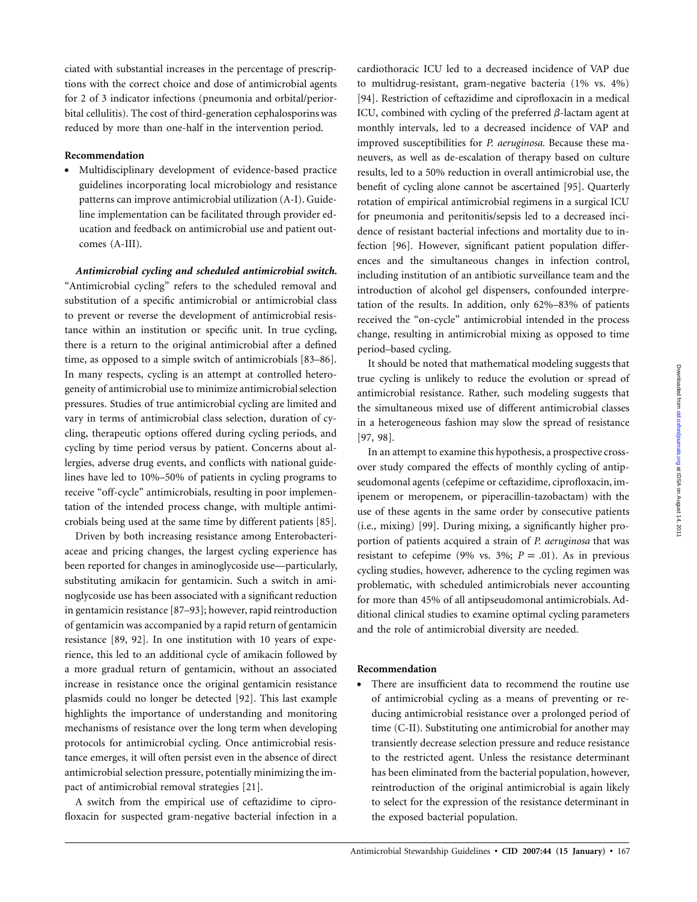ciated with substantial increases in the percentage of prescriptions with the correct choice and dose of antimicrobial agents for 2 of 3 indicator infections (pneumonia and orbital/periorbital cellulitis). The cost of third-generation cephalosporins was reduced by more than one-half in the intervention period.

# **Recommendation**

• Multidisciplinary development of evidence-based practice guidelines incorporating local microbiology and resistance patterns can improve antimicrobial utilization (A-I). Guideline implementation can be facilitated through provider education and feedback on antimicrobial use and patient outcomes (A-III).

*Antimicrobial cycling and scheduled antimicrobial switch.* "Antimicrobial cycling" refers to the scheduled removal and substitution of a specific antimicrobial or antimicrobial class to prevent or reverse the development of antimicrobial resistance within an institution or specific unit. In true cycling, there is a return to the original antimicrobial after a defined time, as opposed to a simple switch of antimicrobials [83–86]. In many respects, cycling is an attempt at controlled heterogeneity of antimicrobial use to minimize antimicrobial selection pressures. Studies of true antimicrobial cycling are limited and vary in terms of antimicrobial class selection, duration of cycling, therapeutic options offered during cycling periods, and cycling by time period versus by patient. Concerns about allergies, adverse drug events, and conflicts with national guidelines have led to 10%–50% of patients in cycling programs to receive "off-cycle" antimicrobials, resulting in poor implementation of the intended process change, with multiple antimicrobials being used at the same time by different patients [85].

Driven by both increasing resistance among Enterobacteriaceae and pricing changes, the largest cycling experience has been reported for changes in aminoglycoside use—particularly, substituting amikacin for gentamicin. Such a switch in aminoglycoside use has been associated with a significant reduction in gentamicin resistance [87–93]; however, rapid reintroduction of gentamicin was accompanied by a rapid return of gentamicin resistance [89, 92]. In one institution with 10 years of experience, this led to an additional cycle of amikacin followed by a more gradual return of gentamicin, without an associated increase in resistance once the original gentamicin resistance plasmids could no longer be detected [92]. This last example highlights the importance of understanding and monitoring mechanisms of resistance over the long term when developing protocols for antimicrobial cycling. Once antimicrobial resistance emerges, it will often persist even in the absence of direct antimicrobial selection pressure, potentially minimizing the impact of antimicrobial removal strategies [21].

A switch from the empirical use of ceftazidime to ciprofloxacin for suspected gram-negative bacterial infection in a

cardiothoracic ICU led to a decreased incidence of VAP due to multidrug-resistant, gram-negative bacteria (1% vs. 4%) [94]. Restriction of ceftazidime and ciprofloxacin in a medical ICU, combined with cycling of the preferred  $\beta$ -lactam agent at monthly intervals, led to a decreased incidence of VAP and improved susceptibilities for *P. aeruginosa.* Because these maneuvers, as well as de-escalation of therapy based on culture results, led to a 50% reduction in overall antimicrobial use, the benefit of cycling alone cannot be ascertained [95]. Quarterly rotation of empirical antimicrobial regimens in a surgical ICU for pneumonia and peritonitis/sepsis led to a decreased incidence of resistant bacterial infections and mortality due to infection [96]. However, significant patient population differences and the simultaneous changes in infection control, including institution of an antibiotic surveillance team and the introduction of alcohol gel dispensers, confounded interpretation of the results. In addition, only 62%–83% of patients received the "on-cycle" antimicrobial intended in the process change, resulting in antimicrobial mixing as opposed to time period–based cycling.

It should be noted that mathematical modeling suggests that true cycling is unlikely to reduce the evolution or spread of antimicrobial resistance. Rather, such modeling suggests that the simultaneous mixed use of different antimicrobial classes in a heterogeneous fashion may slow the spread of resistance [97, 98].

In an attempt to examine this hypothesis, a prospective crossover study compared the effects of monthly cycling of antipseudomonal agents (cefepime or ceftazidime, ciprofloxacin, imipenem or meropenem, or piperacillin-tazobactam) with the use of these agents in the same order by consecutive patients (i.e., mixing) [99]. During mixing, a significantly higher proportion of patients acquired a strain of *P. aeruginosa* that was resistant to cefepime (9% vs. 3%;  $P = .01$ ). As in previous cycling studies, however, adherence to the cycling regimen was problematic, with scheduled antimicrobials never accounting for more than 45% of all antipseudomonal antimicrobials. Additional clinical studies to examine optimal cycling parameters and the role of antimicrobial diversity are needed.

## **Recommendation**

• There are insufficient data to recommend the routine use of antimicrobial cycling as a means of preventing or reducing antimicrobial resistance over a prolonged period of time (C-II). Substituting one antimicrobial for another may transiently decrease selection pressure and reduce resistance to the restricted agent. Unless the resistance determinant has been eliminated from the bacterial population, however, reintroduction of the original antimicrobial is again likely to select for the expression of the resistance determinant in the exposed bacterial population.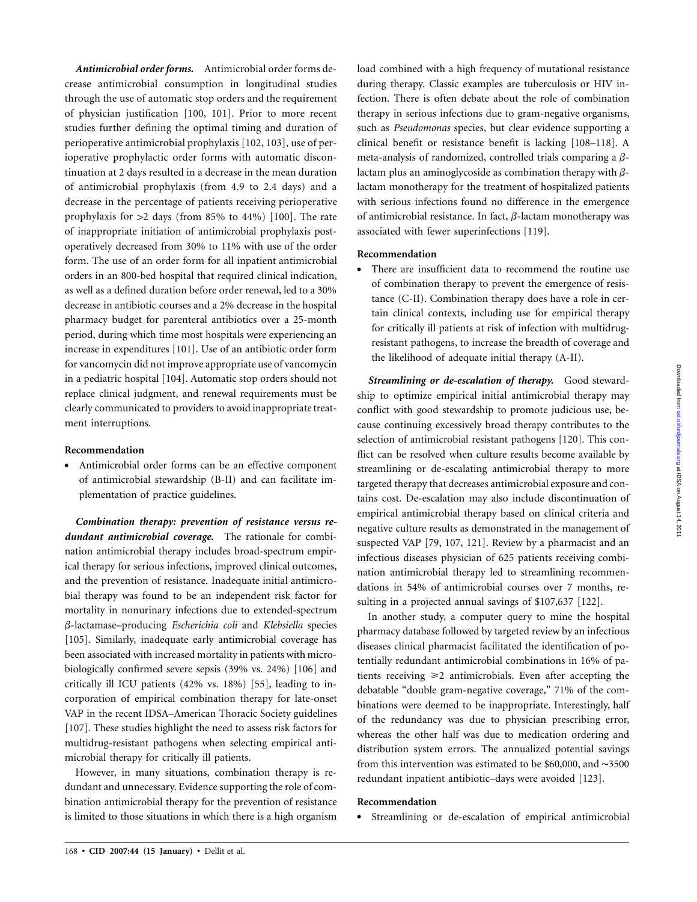*Antimicrobial order forms.* Antimicrobial order forms decrease antimicrobial consumption in longitudinal studies through the use of automatic stop orders and the requirement of physician justification [100, 101]. Prior to more recent studies further defining the optimal timing and duration of perioperative antimicrobial prophylaxis [102, 103], use of perioperative prophylactic order forms with automatic discontinuation at 2 days resulted in a decrease in the mean duration of antimicrobial prophylaxis (from 4.9 to 2.4 days) and a decrease in the percentage of patients receiving perioperative prophylaxis for  $>2$  days (from 85% to 44%) [100]. The rate of inappropriate initiation of antimicrobial prophylaxis postoperatively decreased from 30% to 11% with use of the order form. The use of an order form for all inpatient antimicrobial orders in an 800-bed hospital that required clinical indication, as well as a defined duration before order renewal, led to a 30% decrease in antibiotic courses and a 2% decrease in the hospital pharmacy budget for parenteral antibiotics over a 25-month period, during which time most hospitals were experiencing an increase in expenditures [101]. Use of an antibiotic order form for vancomycin did not improve appropriate use of vancomycin in a pediatric hospital [104]. Automatic stop orders should not replace clinical judgment, and renewal requirements must be clearly communicated to providers to avoid inappropriate treatment interruptions.

#### **Recommendation**

• Antimicrobial order forms can be an effective component of antimicrobial stewardship (B-II) and can facilitate implementation of practice guidelines.

*Combination therapy: prevention of resistance versus redundant antimicrobial coverage.* The rationale for combination antimicrobial therapy includes broad-spectrum empirical therapy for serious infections, improved clinical outcomes, and the prevention of resistance. Inadequate initial antimicrobial therapy was found to be an independent risk factor for mortality in nonurinary infections due to extended-spectrum b-lactamase–producing *Escherichia coli* and *Klebsiella* species [105]. Similarly, inadequate early antimicrobial coverage has been associated with increased mortality in patients with microbiologically confirmed severe sepsis (39% vs. 24%) [106] and critically ill ICU patients (42% vs. 18%) [55], leading to incorporation of empirical combination therapy for late-onset VAP in the recent IDSA–American Thoracic Society guidelines [107]. These studies highlight the need to assess risk factors for multidrug-resistant pathogens when selecting empirical antimicrobial therapy for critically ill patients.

However, in many situations, combination therapy is redundant and unnecessary. Evidence supporting the role of combination antimicrobial therapy for the prevention of resistance is limited to those situations in which there is a high organism

load combined with a high frequency of mutational resistance during therapy. Classic examples are tuberculosis or HIV infection. There is often debate about the role of combination therapy in serious infections due to gram-negative organisms, such as *Pseudomonas* species, but clear evidence supporting a clinical benefit or resistance benefit is lacking [108–118]. A meta-analysis of randomized, controlled trials comparing a  $\beta$ lactam plus an aminoglycoside as combination therapy with  $\beta$ lactam monotherapy for the treatment of hospitalized patients with serious infections found no difference in the emergence of antimicrobial resistance. In fact,  $\beta$ -lactam monotherapy was associated with fewer superinfections [119].

#### **Recommendation**

• There are insufficient data to recommend the routine use of combination therapy to prevent the emergence of resistance (C-II). Combination therapy does have a role in certain clinical contexts, including use for empirical therapy for critically ill patients at risk of infection with multidrugresistant pathogens, to increase the breadth of coverage and the likelihood of adequate initial therapy (A-II).

*Streamlining or de-escalation of therapy.* Good stewardship to optimize empirical initial antimicrobial therapy may conflict with good stewardship to promote judicious use, because continuing excessively broad therapy contributes to the selection of antimicrobial resistant pathogens [120]. This conflict can be resolved when culture results become available by streamlining or de-escalating antimicrobial therapy to more targeted therapy that decreases antimicrobial exposure and contains cost. De-escalation may also include discontinuation of empirical antimicrobial therapy based on clinical criteria and negative culture results as demonstrated in the management of suspected VAP [79, 107, 121]. Review by a pharmacist and an infectious diseases physician of 625 patients receiving combination antimicrobial therapy led to streamlining recommendations in 54% of antimicrobial courses over 7 months, resulting in a projected annual savings of \$107,637 [122].

In another study, a computer query to mine the hospital pharmacy database followed by targeted review by an infectious diseases clinical pharmacist facilitated the identification of potentially redundant antimicrobial combinations in 16% of patients receiving  $\geq 2$  antimicrobials. Even after accepting the debatable "double gram-negative coverage," 71% of the combinations were deemed to be inappropriate. Interestingly, half of the redundancy was due to physician prescribing error, whereas the other half was due to medication ordering and distribution system errors. The annualized potential savings from this intervention was estimated to be \$60,000, and ∼3500 redundant inpatient antibiotic–days were avoided [123].

#### **Recommendation**

• Streamlining or de-escalation of empirical antimicrobial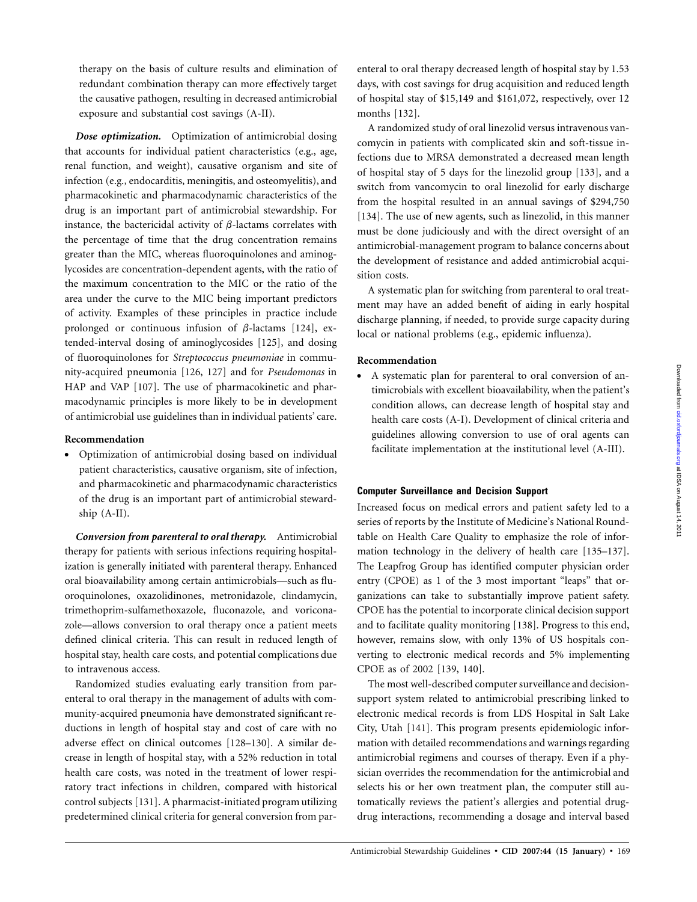therapy on the basis of culture results and elimination of redundant combination therapy can more effectively target the causative pathogen, resulting in decreased antimicrobial exposure and substantial cost savings (A-II).

*Dose optimization.* Optimization of antimicrobial dosing that accounts for individual patient characteristics (e.g., age, renal function, and weight), causative organism and site of infection (e.g., endocarditis, meningitis, and osteomyelitis), and pharmacokinetic and pharmacodynamic characteristics of the drug is an important part of antimicrobial stewardship. For instance, the bactericidal activity of  $\beta$ -lactams correlates with the percentage of time that the drug concentration remains greater than the MIC, whereas fluoroquinolones and aminoglycosides are concentration-dependent agents, with the ratio of the maximum concentration to the MIC or the ratio of the area under the curve to the MIC being important predictors of activity. Examples of these principles in practice include prolonged or continuous infusion of  $\beta$ -lactams [124], extended-interval dosing of aminoglycosides [125], and dosing of fluoroquinolones for *Streptococcus pneumoniae* in community-acquired pneumonia [126, 127] and for *Pseudomonas* in HAP and VAP [107]. The use of pharmacokinetic and pharmacodynamic principles is more likely to be in development of antimicrobial use guidelines than in individual patients' care.

## **Recommendation**

• Optimization of antimicrobial dosing based on individual patient characteristics, causative organism, site of infection, and pharmacokinetic and pharmacodynamic characteristics of the drug is an important part of antimicrobial stewardship (A-II).

*Conversion from parenteral to oral therapy.* Antimicrobial therapy for patients with serious infections requiring hospitalization is generally initiated with parenteral therapy. Enhanced oral bioavailability among certain antimicrobials—such as fluoroquinolones, oxazolidinones, metronidazole, clindamycin, trimethoprim-sulfamethoxazole, fluconazole, and voriconazole—allows conversion to oral therapy once a patient meets defined clinical criteria. This can result in reduced length of hospital stay, health care costs, and potential complications due to intravenous access.

Randomized studies evaluating early transition from parenteral to oral therapy in the management of adults with community-acquired pneumonia have demonstrated significant reductions in length of hospital stay and cost of care with no adverse effect on clinical outcomes [128–130]. A similar decrease in length of hospital stay, with a 52% reduction in total health care costs, was noted in the treatment of lower respiratory tract infections in children, compared with historical control subjects [131]. A pharmacist-initiated program utilizing predetermined clinical criteria for general conversion from parenteral to oral therapy decreased length of hospital stay by 1.53 days, with cost savings for drug acquisition and reduced length of hospital stay of \$15,149 and \$161,072, respectively, over 12 months [132].

A randomized study of oral linezolid versus intravenous vancomycin in patients with complicated skin and soft-tissue infections due to MRSA demonstrated a decreased mean length of hospital stay of 5 days for the linezolid group [133], and a switch from vancomycin to oral linezolid for early discharge from the hospital resulted in an annual savings of \$294,750 [134]. The use of new agents, such as linezolid, in this manner must be done judiciously and with the direct oversight of an antimicrobial-management program to balance concerns about the development of resistance and added antimicrobial acquisition costs.

A systematic plan for switching from parenteral to oral treatment may have an added benefit of aiding in early hospital discharge planning, if needed, to provide surge capacity during local or national problems (e.g., epidemic influenza).

#### **Recommendation**

• A systematic plan for parenteral to oral conversion of antimicrobials with excellent bioavailability, when the patient's condition allows, can decrease length of hospital stay and health care costs (A-I). Development of clinical criteria and guidelines allowing conversion to use of oral agents can facilitate implementation at the institutional level (A-III).

#### **Computer Surveillance and Decision Support**

Increased focus on medical errors and patient safety led to a series of reports by the Institute of Medicine's National Roundtable on Health Care Quality to emphasize the role of information technology in the delivery of health care [135–137]. The Leapfrog Group has identified computer physician order entry (CPOE) as 1 of the 3 most important "leaps" that organizations can take to substantially improve patient safety. CPOE has the potential to incorporate clinical decision support and to facilitate quality monitoring [138]. Progress to this end, however, remains slow, with only 13% of US hospitals converting to electronic medical records and 5% implementing CPOE as of 2002 [139, 140].

The most well-described computer surveillance and decisionsupport system related to antimicrobial prescribing linked to electronic medical records is from LDS Hospital in Salt Lake City, Utah [141]. This program presents epidemiologic information with detailed recommendations and warnings regarding antimicrobial regimens and courses of therapy. Even if a physician overrides the recommendation for the antimicrobial and selects his or her own treatment plan, the computer still automatically reviews the patient's allergies and potential drugdrug interactions, recommending a dosage and interval based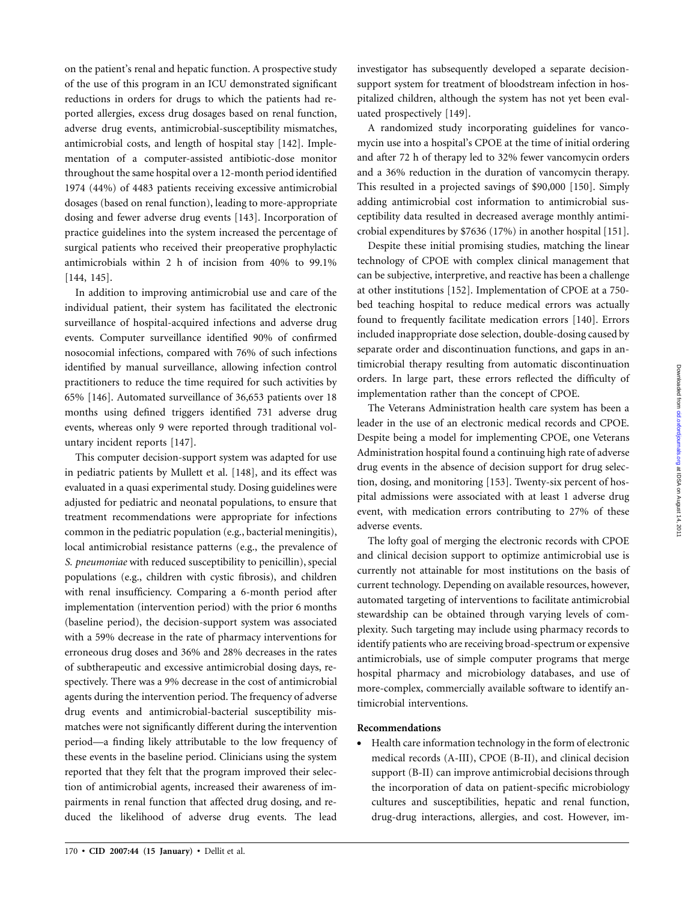on the patient's renal and hepatic function. A prospective study of the use of this program in an ICU demonstrated significant reductions in orders for drugs to which the patients had reported allergies, excess drug dosages based on renal function, adverse drug events, antimicrobial-susceptibility mismatches, antimicrobial costs, and length of hospital stay [142]. Implementation of a computer-assisted antibiotic-dose monitor throughout the same hospital over a 12-month period identified 1974 (44%) of 4483 patients receiving excessive antimicrobial dosages (based on renal function), leading to more-appropriate dosing and fewer adverse drug events [143]. Incorporation of practice guidelines into the system increased the percentage of surgical patients who received their preoperative prophylactic antimicrobials within 2 h of incision from 40% to 99.1% [144, 145].

In addition to improving antimicrobial use and care of the individual patient, their system has facilitated the electronic surveillance of hospital-acquired infections and adverse drug events. Computer surveillance identified 90% of confirmed nosocomial infections, compared with 76% of such infections identified by manual surveillance, allowing infection control practitioners to reduce the time required for such activities by 65% [146]. Automated surveillance of 36,653 patients over 18 months using defined triggers identified 731 adverse drug events, whereas only 9 were reported through traditional voluntary incident reports [147].

This computer decision-support system was adapted for use in pediatric patients by Mullett et al. [148], and its effect was evaluated in a quasi experimental study. Dosing guidelines were adjusted for pediatric and neonatal populations, to ensure that treatment recommendations were appropriate for infections common in the pediatric population (e.g., bacterial meningitis), local antimicrobial resistance patterns (e.g., the prevalence of *S. pneumoniae* with reduced susceptibility to penicillin), special populations (e.g., children with cystic fibrosis), and children with renal insufficiency. Comparing a 6-month period after implementation (intervention period) with the prior 6 months (baseline period), the decision-support system was associated with a 59% decrease in the rate of pharmacy interventions for erroneous drug doses and 36% and 28% decreases in the rates of subtherapeutic and excessive antimicrobial dosing days, respectively. There was a 9% decrease in the cost of antimicrobial agents during the intervention period. The frequency of adverse drug events and antimicrobial-bacterial susceptibility mismatches were not significantly different during the intervention period—a finding likely attributable to the low frequency of these events in the baseline period. Clinicians using the system reported that they felt that the program improved their selection of antimicrobial agents, increased their awareness of impairments in renal function that affected drug dosing, and reduced the likelihood of adverse drug events. The lead

investigator has subsequently developed a separate decisionsupport system for treatment of bloodstream infection in hospitalized children, although the system has not yet been evaluated prospectively [149].

A randomized study incorporating guidelines for vancomycin use into a hospital's CPOE at the time of initial ordering and after 72 h of therapy led to 32% fewer vancomycin orders and a 36% reduction in the duration of vancomycin therapy. This resulted in a projected savings of \$90,000 [150]. Simply adding antimicrobial cost information to antimicrobial susceptibility data resulted in decreased average monthly antimicrobial expenditures by \$7636 (17%) in another hospital [151].

Despite these initial promising studies, matching the linear technology of CPOE with complex clinical management that can be subjective, interpretive, and reactive has been a challenge at other institutions [152]. Implementation of CPOE at a 750 bed teaching hospital to reduce medical errors was actually found to frequently facilitate medication errors [140]. Errors included inappropriate dose selection, double-dosing caused by separate order and discontinuation functions, and gaps in antimicrobial therapy resulting from automatic discontinuation orders. In large part, these errors reflected the difficulty of implementation rather than the concept of CPOE.

The Veterans Administration health care system has been a leader in the use of an electronic medical records and CPOE. Despite being a model for implementing CPOE, one Veterans Administration hospital found a continuing high rate of adverse drug events in the absence of decision support for drug selection, dosing, and monitoring [153]. Twenty-six percent of hospital admissions were associated with at least 1 adverse drug event, with medication errors contributing to 27% of these adverse events.

The lofty goal of merging the electronic records with CPOE and clinical decision support to optimize antimicrobial use is currently not attainable for most institutions on the basis of current technology. Depending on available resources, however, automated targeting of interventions to facilitate antimicrobial stewardship can be obtained through varying levels of complexity. Such targeting may include using pharmacy records to identify patients who are receiving broad-spectrum or expensive antimicrobials, use of simple computer programs that merge hospital pharmacy and microbiology databases, and use of more-complex, commercially available software to identify antimicrobial interventions.

#### **Recommendations**

• Health care information technology in the form of electronic medical records (A-III), CPOE (B-II), and clinical decision support (B-II) can improve antimicrobial decisions through the incorporation of data on patient-specific microbiology cultures and susceptibilities, hepatic and renal function, drug-drug interactions, allergies, and cost. However, im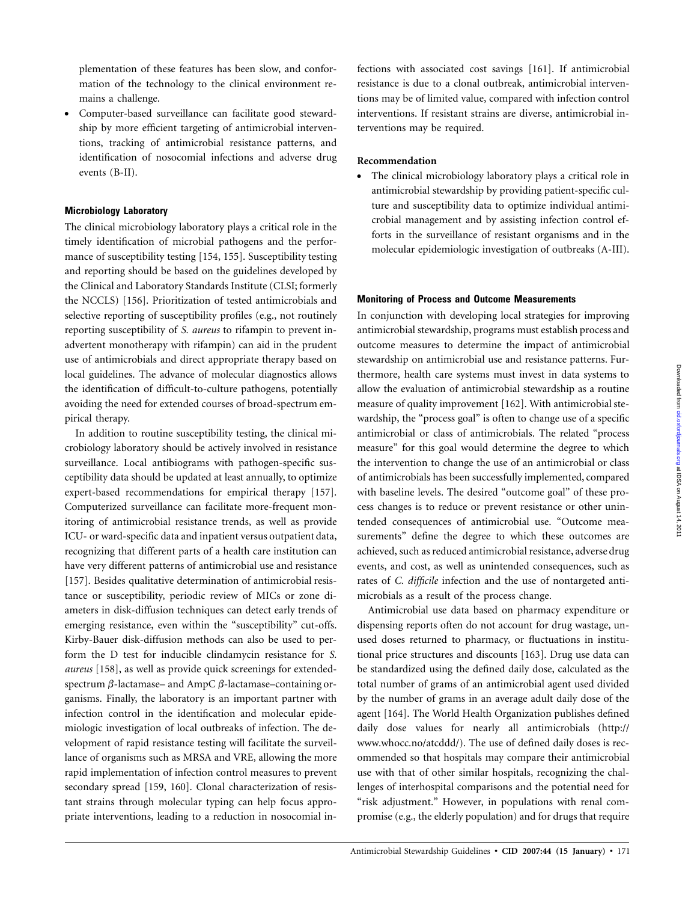plementation of these features has been slow, and conformation of the technology to the clinical environment remains a challenge.

• Computer-based surveillance can facilitate good stewardship by more efficient targeting of antimicrobial interventions, tracking of antimicrobial resistance patterns, and identification of nosocomial infections and adverse drug events (B-II).

#### **Microbiology Laboratory**

The clinical microbiology laboratory plays a critical role in the timely identification of microbial pathogens and the performance of susceptibility testing [154, 155]. Susceptibility testing and reporting should be based on the guidelines developed by the Clinical and Laboratory Standards Institute (CLSI; formerly the NCCLS) [156]. Prioritization of tested antimicrobials and selective reporting of susceptibility profiles (e.g., not routinely reporting susceptibility of *S. aureus* to rifampin to prevent inadvertent monotherapy with rifampin) can aid in the prudent use of antimicrobials and direct appropriate therapy based on local guidelines. The advance of molecular diagnostics allows the identification of difficult-to-culture pathogens, potentially avoiding the need for extended courses of broad-spectrum empirical therapy.

In addition to routine susceptibility testing, the clinical microbiology laboratory should be actively involved in resistance surveillance. Local antibiograms with pathogen-specific susceptibility data should be updated at least annually, to optimize expert-based recommendations for empirical therapy [157]. Computerized surveillance can facilitate more-frequent monitoring of antimicrobial resistance trends, as well as provide ICU- or ward-specific data and inpatient versus outpatient data, recognizing that different parts of a health care institution can have very different patterns of antimicrobial use and resistance [157]. Besides qualitative determination of antimicrobial resistance or susceptibility, periodic review of MICs or zone diameters in disk-diffusion techniques can detect early trends of emerging resistance, even within the "susceptibility" cut-offs. Kirby-Bauer disk-diffusion methods can also be used to perform the D test for inducible clindamycin resistance for *S. aureus* [158], as well as provide quick screenings for extendedspectrum  $\beta$ -lactamase– and AmpC  $\beta$ -lactamase–containing organisms. Finally, the laboratory is an important partner with infection control in the identification and molecular epidemiologic investigation of local outbreaks of infection. The development of rapid resistance testing will facilitate the surveillance of organisms such as MRSA and VRE, allowing the more rapid implementation of infection control measures to prevent secondary spread [159, 160]. Clonal characterization of resistant strains through molecular typing can help focus appropriate interventions, leading to a reduction in nosocomial infections with associated cost savings [161]. If antimicrobial resistance is due to a clonal outbreak, antimicrobial interventions may be of limited value, compared with infection control interventions. If resistant strains are diverse, antimicrobial interventions may be required.

#### **Recommendation**

• The clinical microbiology laboratory plays a critical role in antimicrobial stewardship by providing patient-specific culture and susceptibility data to optimize individual antimicrobial management and by assisting infection control efforts in the surveillance of resistant organisms and in the molecular epidemiologic investigation of outbreaks (A-III).

#### **Monitoring of Process and Outcome Measurements**

In conjunction with developing local strategies for improving antimicrobial stewardship, programs must establish process and outcome measures to determine the impact of antimicrobial stewardship on antimicrobial use and resistance patterns. Furthermore, health care systems must invest in data systems to allow the evaluation of antimicrobial stewardship as a routine measure of quality improvement [162]. With antimicrobial stewardship, the "process goal" is often to change use of a specific antimicrobial or class of antimicrobials. The related "process measure" for this goal would determine the degree to which the intervention to change the use of an antimicrobial or class of antimicrobials has been successfully implemented, compared with baseline levels. The desired "outcome goal" of these process changes is to reduce or prevent resistance or other unintended consequences of antimicrobial use. "Outcome measurements" define the degree to which these outcomes are achieved, such as reduced antimicrobial resistance, adverse drug events, and cost, as well as unintended consequences, such as rates of *C. difficile* infection and the use of nontargeted antimicrobials as a result of the process change.

Antimicrobial use data based on pharmacy expenditure or dispensing reports often do not account for drug wastage, unused doses returned to pharmacy, or fluctuations in institutional price structures and discounts [163]. Drug use data can be standardized using the defined daily dose, calculated as the total number of grams of an antimicrobial agent used divided by the number of grams in an average adult daily dose of the agent [164]. The World Health Organization publishes defined daily dose values for nearly all antimicrobials (http:// www.whocc.no/atcddd/). The use of defined daily doses is recommended so that hospitals may compare their antimicrobial use with that of other similar hospitals, recognizing the challenges of interhospital comparisons and the potential need for "risk adjustment." However, in populations with renal compromise (e.g., the elderly population) and for drugs that require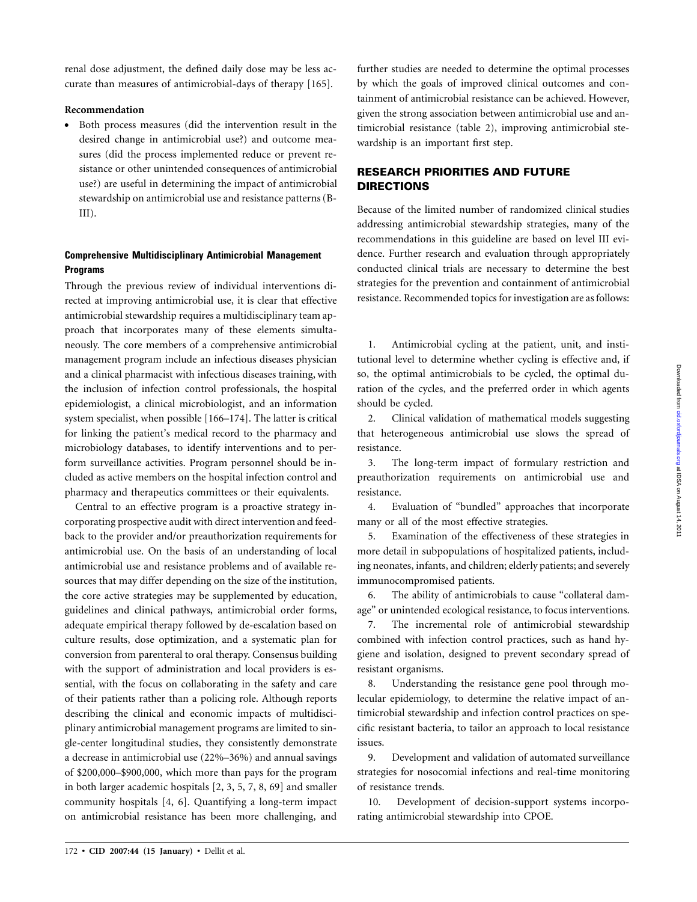renal dose adjustment, the defined daily dose may be less accurate than measures of antimicrobial-days of therapy [165].

# **Recommendation**

• Both process measures (did the intervention result in the desired change in antimicrobial use?) and outcome measures (did the process implemented reduce or prevent resistance or other unintended consequences of antimicrobial use?) are useful in determining the impact of antimicrobial stewardship on antimicrobial use and resistance patterns (B-III).

# **Comprehensive Multidisciplinary Antimicrobial Management Programs**

Through the previous review of individual interventions directed at improving antimicrobial use, it is clear that effective antimicrobial stewardship requires a multidisciplinary team approach that incorporates many of these elements simultaneously. The core members of a comprehensive antimicrobial management program include an infectious diseases physician and a clinical pharmacist with infectious diseases training, with the inclusion of infection control professionals, the hospital epidemiologist, a clinical microbiologist, and an information system specialist, when possible [166–174]. The latter is critical for linking the patient's medical record to the pharmacy and microbiology databases, to identify interventions and to perform surveillance activities. Program personnel should be included as active members on the hospital infection control and pharmacy and therapeutics committees or their equivalents.

Central to an effective program is a proactive strategy incorporating prospective audit with direct intervention and feedback to the provider and/or preauthorization requirements for antimicrobial use. On the basis of an understanding of local antimicrobial use and resistance problems and of available resources that may differ depending on the size of the institution, the core active strategies may be supplemented by education, guidelines and clinical pathways, antimicrobial order forms, adequate empirical therapy followed by de-escalation based on culture results, dose optimization, and a systematic plan for conversion from parenteral to oral therapy. Consensus building with the support of administration and local providers is essential, with the focus on collaborating in the safety and care of their patients rather than a policing role. Although reports describing the clinical and economic impacts of multidisciplinary antimicrobial management programs are limited to single-center longitudinal studies, they consistently demonstrate a decrease in antimicrobial use (22%–36%) and annual savings of \$200,000–\$900,000, which more than pays for the program in both larger academic hospitals [2, 3, 5, 7, 8, 69] and smaller community hospitals [4, 6]. Quantifying a long-term impact on antimicrobial resistance has been more challenging, and further studies are needed to determine the optimal processes by which the goals of improved clinical outcomes and containment of antimicrobial resistance can be achieved. However, given the strong association between antimicrobial use and antimicrobial resistance (table 2), improving antimicrobial stewardship is an important first step.

# **RESEARCH PRIORITIES AND FUTURE DIRECTIONS**

Because of the limited number of randomized clinical studies addressing antimicrobial stewardship strategies, many of the recommendations in this guideline are based on level III evidence. Further research and evaluation through appropriately conducted clinical trials are necessary to determine the best strategies for the prevention and containment of antimicrobial resistance. Recommended topics for investigation are as follows:

1. Antimicrobial cycling at the patient, unit, and institutional level to determine whether cycling is effective and, if so, the optimal antimicrobials to be cycled, the optimal duration of the cycles, and the preferred order in which agents should be cycled.

2. Clinical validation of mathematical models suggesting that heterogeneous antimicrobial use slows the spread of resistance.

3. The long-term impact of formulary restriction and preauthorization requirements on antimicrobial use and resistance.

4. Evaluation of "bundled" approaches that incorporate many or all of the most effective strategies.

5. Examination of the effectiveness of these strategies in more detail in subpopulations of hospitalized patients, including neonates, infants, and children; elderly patients; and severely immunocompromised patients.

6. The ability of antimicrobials to cause "collateral damage" or unintended ecological resistance, to focus interventions.

7. The incremental role of antimicrobial stewardship combined with infection control practices, such as hand hygiene and isolation, designed to prevent secondary spread of resistant organisms.

8. Understanding the resistance gene pool through molecular epidemiology, to determine the relative impact of antimicrobial stewardship and infection control practices on specific resistant bacteria, to tailor an approach to local resistance issues.

9. Development and validation of automated surveillance strategies for nosocomial infections and real-time monitoring of resistance trends.

10. Development of decision-support systems incorporating antimicrobial stewardship into CPOE.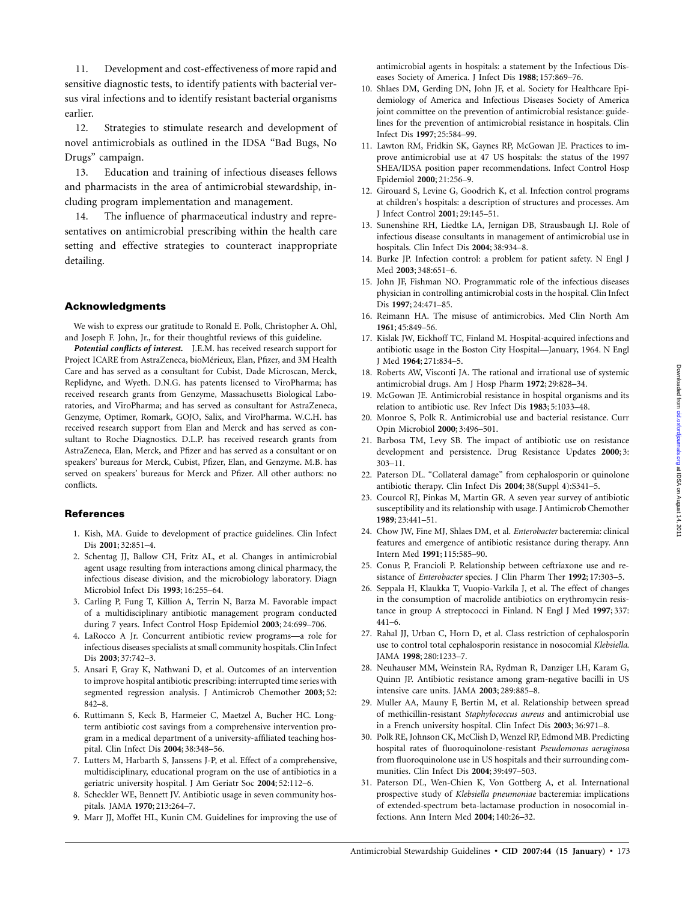11. Development and cost-effectiveness of more rapid and sensitive diagnostic tests, to identify patients with bacterial versus viral infections and to identify resistant bacterial organisms earlier.

12. Strategies to stimulate research and development of novel antimicrobials as outlined in the IDSA "Bad Bugs, No Drugs" campaign.

13. Education and training of infectious diseases fellows and pharmacists in the area of antimicrobial stewardship, including program implementation and management.

14. The influence of pharmaceutical industry and representatives on antimicrobial prescribing within the health care setting and effective strategies to counteract inappropriate detailing.

#### **Acknowledgments**

We wish to express our gratitude to Ronald E. Polk, Christopher A. Ohl, and Joseph F. John, Jr., for their thoughtful reviews of this guideline.

*Potential conflicts of interest.* J.E.M. has received research support for Project ICARE from AstraZeneca, bioMérieux, Elan, Pfizer, and 3M Health Care and has served as a consultant for Cubist, Dade Microscan, Merck, Replidyne, and Wyeth. D.N.G. has patents licensed to ViroPharma; has received research grants from Genzyme, Massachusetts Biological Laboratories, and ViroPharma; and has served as consultant for AstraZeneca, Genzyme, Optimer, Romark, GOJO, Salix, and ViroPharma. W.C.H. has received research support from Elan and Merck and has served as consultant to Roche Diagnostics. D.L.P. has received research grants from AstraZeneca, Elan, Merck, and Pfizer and has served as a consultant or on speakers' bureaus for Merck, Cubist, Pfizer, Elan, and Genzyme. M.B. has served on speakers' bureaus for Merck and Pfizer. All other authors: no conflicts.

#### **References**

- 1. Kish, MA. Guide to development of practice guidelines. Clin Infect Dis **2001**; 32:851–4.
- 2. Schentag JJ, Ballow CH, Fritz AL, et al. Changes in antimicrobial agent usage resulting from interactions among clinical pharmacy, the infectious disease division, and the microbiology laboratory. Diagn Microbiol Infect Dis **1993**; 16:255–64.
- 3. Carling P, Fung T, Killion A, Terrin N, Barza M. Favorable impact of a multidisciplinary antibiotic management program conducted during 7 years. Infect Control Hosp Epidemiol **2003**; 24:699–706.
- 4. LaRocco A Jr. Concurrent antibiotic review programs—a role for infectious diseases specialists at small community hospitals. Clin Infect Dis **2003**; 37:742–3.
- 5. Ansari F, Gray K, Nathwani D, et al. Outcomes of an intervention to improve hospital antibiotic prescribing: interrupted time series with segmented regression analysis. J Antimicrob Chemother **2003**; 52: 842–8.
- 6. Ruttimann S, Keck B, Harmeier C, Maetzel A, Bucher HC. Longterm antibiotic cost savings from a comprehensive intervention program in a medical department of a university-affiliated teaching hospital. Clin Infect Dis **2004**; 38:348–56.
- 7. Lutters M, Harbarth S, Janssens J-P, et al. Effect of a comprehensive, multidisciplinary, educational program on the use of antibiotics in a geriatric university hospital. J Am Geriatr Soc **2004**; 52:112–6.
- 8. Scheckler WE, Bennett JV. Antibiotic usage in seven community hospitals. JAMA **1970**; 213:264–7.
- 9. Marr JJ, Moffet HL, Kunin CM. Guidelines for improving the use of

antimicrobial agents in hospitals: a statement by the Infectious Diseases Society of America. J Infect Dis **1988**; 157:869–76.

- 10. Shlaes DM, Gerding DN, John JF, et al. Society for Healthcare Epidemiology of America and Infectious Diseases Society of America joint committee on the prevention of antimicrobial resistance: guidelines for the prevention of antimicrobial resistance in hospitals. Clin Infect Dis **1997**; 25:584–99.
- 11. Lawton RM, Fridkin SK, Gaynes RP, McGowan JE. Practices to improve antimicrobial use at 47 US hospitals: the status of the 1997 SHEA/IDSA position paper recommendations. Infect Control Hosp Epidemiol **2000**; 21:256–9.
- 12. Girouard S, Levine G, Goodrich K, et al. Infection control programs at children's hospitals: a description of structures and processes. Am J Infect Control **2001**; 29:145–51.
- 13. Sunenshine RH, Liedtke LA, Jernigan DB, Strausbaugh LJ. Role of infectious disease consultants in management of antimicrobial use in hospitals. Clin Infect Dis **2004**; 38:934–8.
- 14. Burke JP. Infection control: a problem for patient safety. N Engl J Med **2003**; 348:651–6.
- 15. John JF, Fishman NO. Programmatic role of the infectious diseases physician in controlling antimicrobial costs in the hospital. Clin Infect Dis **1997**; 24:471–85.
- 16. Reimann HA. The misuse of antimicrobics. Med Clin North Am **1961**; 45:849–56.
- 17. Kislak JW, Eickhoff TC, Finland M. Hospital-acquired infections and antibiotic usage in the Boston City Hospital—January, 1964. N Engl J Med **1964**; 271:834–5.
- 18. Roberts AW, Visconti JA. The rational and irrational use of systemic antimicrobial drugs. Am J Hosp Pharm **1972**; 29:828–34.
- 19. McGowan JE. Antimicrobial resistance in hospital organisms and its relation to antibiotic use. Rev Infect Dis **1983**; 5:1033–48.
- 20. Monroe S, Polk R. Antimicrobial use and bacterial resistance. Curr Opin Microbiol **2000**; 3:496–501.
- 21. Barbosa TM, Levy SB. The impact of antibiotic use on resistance development and persistence. Drug Resistance Updates **2000**; 3: 303–11.
- 22. Paterson DL. "Collateral damage" from cephalosporin or quinolone antibiotic therapy. Clin Infect Dis **2004**; 38(Suppl 4):S341–5.
- 23. Courcol RJ, Pinkas M, Martin GR. A seven year survey of antibiotic susceptibility and its relationship with usage. J Antimicrob Chemother **1989**; 23:441–51.
- 24. Chow JW, Fine MJ, Shlaes DM, et al. *Enterobacter* bacteremia: clinical features and emergence of antibiotic resistance during therapy. Ann Intern Med **1991**; 115:585–90.
- 25. Conus P, Francioli P. Relationship between ceftriaxone use and resistance of *Enterobacter* species. J Clin Pharm Ther **1992**; 17:303–5.
- 26. Seppala H, Klaukka T, Vuopio-Varkila J, et al. The effect of changes in the consumption of macrolide antibiotics on erythromycin resistance in group A streptococci in Finland. N Engl J Med **1997**; 337: 441–6.
- 27. Rahal JJ, Urban C, Horn D, et al. Class restriction of cephalosporin use to control total cephalosporin resistance in nosocomial *Klebsiella*. JAMA **1998**; 280:1233–7.
- 28. Neuhauser MM, Weinstein RA, Rydman R, Danziger LH, Karam G, Quinn JP. Antibiotic resistance among gram-negative bacilli in US intensive care units. JAMA **2003**; 289:885–8.
- 29. Muller AA, Mauny F, Bertin M, et al. Relationship between spread of methicillin-resistant *Staphylococcus aureus* and antimicrobial use in a French university hospital. Clin Infect Dis **2003**; 36:971–8.
- 30. Polk RE, Johnson CK, McClish D, Wenzel RP, Edmond MB. Predicting hospital rates of fluoroquinolone-resistant *Pseudomonas aeruginosa* from fluoroquinolone use in US hospitals and their surrounding communities. Clin Infect Dis **2004**; 39:497–503.
- 31. Paterson DL, Wen-Chien K, Von Gottberg A, et al. International prospective study of *Klebsiella pneumoniae* bacteremia: implications of extended-spectrum beta-lactamase production in nosocomial infections. Ann Intern Med **2004**; 140:26–32.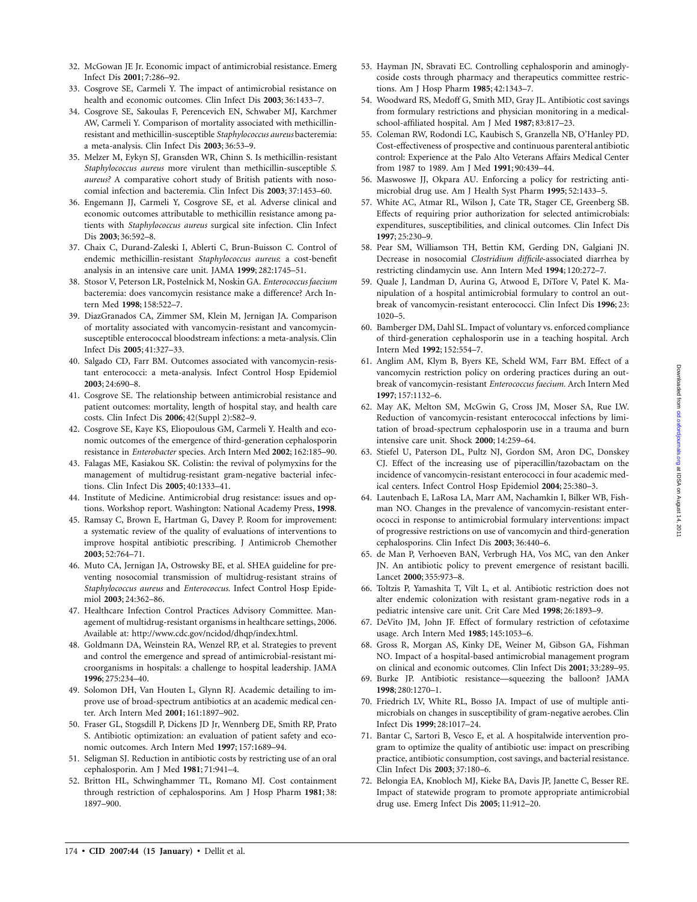- 33. Cosgrove SE, Carmeli Y. The impact of antimicrobial resistance on health and economic outcomes. Clin Infect Dis **2003**; 36:1433–7.
- 34. Cosgrove SE, Sakoulas F, Perencevich EN, Schwaber MJ, Karchmer AW, Carmeli Y. Comparison of mortality associated with methicillinresistant and methicillin-susceptible *Staphylococcus aureus* bacteremia: a meta-analysis. Clin Infect Dis **2003**; 36:53–9.
- 35. Melzer M, Eykyn SJ, Gransden WR, Chinn S. Is methicillin-resistant *Staphylococcus aureus* more virulent than methicillin-susceptible *S. aureus?* A comparative cohort study of British patients with nosocomial infection and bacteremia. Clin Infect Dis **2003**; 37:1453–60.
- 36. Engemann JJ, Carmeli Y, Cosgrove SE, et al. Adverse clinical and economic outcomes attributable to methicillin resistance among patients with *Staphylococcus aureus* surgical site infection. Clin Infect Dis **2003**; 36:592–8.
- 37. Chaix C, Durand-Zaleski I, Ablerti C, Brun-Buisson C. Control of endemic methicillin-resistant *Staphylococcus aureus*: a cost-benefit analysis in an intensive care unit. JAMA **1999**; 282:1745–51.
- 38. Stosor V, Peterson LR, Postelnick M, Noskin GA. *Enterococcus faecium* bacteremia: does vancomycin resistance make a difference? Arch Intern Med **1998**; 158:522–7.
- 39. DiazGranados CA, Zimmer SM, Klein M, Jernigan JA. Comparison of mortality associated with vancomycin-resistant and vancomycinsusceptible enterococcal bloodstream infections: a meta-analysis. Clin Infect Dis **2005**; 41:327–33.
- 40. Salgado CD, Farr BM. Outcomes associated with vancomycin-resistant enterococci: a meta-analysis. Infect Control Hosp Epidemiol **2003**; 24:690–8.
- 41. Cosgrove SE. The relationship between antimicrobial resistance and patient outcomes: mortality, length of hospital stay, and health care costs. Clin Infect Dis **2006**; 42(Suppl 2):S82–9.
- 42. Cosgrove SE, Kaye KS, Eliopoulous GM, Carmeli Y. Health and economic outcomes of the emergence of third-generation cephalosporin resistance in *Enterobacter* species. Arch Intern Med **2002**; 162:185–90.
- 43. Falagas ME, Kasiakou SK. Colistin: the revival of polymyxins for the management of multidrug-resistant gram-negative bacterial infections. Clin Infect Dis **2005**; 40:1333–41.
- 44. Institute of Medicine. Antimicrobial drug resistance: issues and options. Workshop report. Washington: National Academy Press, **1998**.
- 45. Ramsay C, Brown E, Hartman G, Davey P. Room for improvement: a systematic review of the quality of evaluations of interventions to improve hospital antibiotic prescribing. J Antimicrob Chemother **2003**; 52:764–71.
- 46. Muto CA, Jernigan JA, Ostrowsky BE, et al. SHEA guideline for preventing nosocomial transmission of multidrug-resistant strains of *Staphylococcus aureus* and *Enterococcus.* Infect Control Hosp Epidemiol **2003**; 24:362–86.
- 47. Healthcare Infection Control Practices Advisory Committee. Management of multidrug-resistant organisms in healthcare settings, 2006. Available at: http://www.cdc.gov/ncidod/dhqp/index.html.
- 48. Goldmann DA, Weinstein RA, Wenzel RP, et al. Strategies to prevent and control the emergence and spread of antimicrobial-resistant microorganisms in hospitals: a challenge to hospital leadership. JAMA **1996**; 275:234–40.
- 49. Solomon DH, Van Houten L, Glynn RJ. Academic detailing to improve use of broad-spectrum antibiotics at an academic medical center. Arch Intern Med **2001**; 161:1897–902.
- 50. Fraser GL, Stogsdill P, Dickens JD Jr, Wennberg DE, Smith RP, Prato S. Antibiotic optimization: an evaluation of patient safety and economic outcomes. Arch Intern Med **1997**; 157:1689–94.
- 51. Seligman SJ. Reduction in antibiotic costs by restricting use of an oral cephalosporin. Am J Med **1981**; 71:941–4.
- 52. Britton HL, Schwinghammer TL, Romano MJ. Cost containment through restriction of cephalosporins. Am J Hosp Pharm **1981**; 38: 1897–900.
- 53. Hayman JN, Sbravati EC. Controlling cephalosporin and aminoglycoside costs through pharmacy and therapeutics committee restrictions. Am J Hosp Pharm **1985**; 42:1343–7.
- 54. Woodward RS, Medoff G, Smith MD, Gray JL. Antibiotic cost savings from formulary restrictions and physician monitoring in a medicalschool-affiliated hospital. Am J Med **1987**; 83:817–23.
- 55. Coleman RW, Rodondi LC, Kaubisch S, Granzella NB, O'Hanley PD. Cost-effectiveness of prospective and continuous parenteral antibiotic control: Experience at the Palo Alto Veterans Affairs Medical Center from 1987 to 1989. Am J Med **1991**; 90:439–44.
- 56. Maswoswe JJ, Okpara AU. Enforcing a policy for restricting antimicrobial drug use. Am J Health Syst Pharm **1995**; 52:1433–5.
- 57. White AC, Atmar RL, Wilson J, Cate TR, Stager CE, Greenberg SB. Effects of requiring prior authorization for selected antimicrobials: expenditures, susceptibilities, and clinical outcomes. Clin Infect Dis **1997**; 25:230–9.
- 58. Pear SM, Williamson TH, Bettin KM, Gerding DN, Galgiani JN. Decrease in nosocomial *Clostridium difficile*-associated diarrhea by restricting clindamycin use. Ann Intern Med **1994**; 120:272–7.
- 59. Quale J, Landman D, Aurina G, Atwood E, DiTore V, Patel K. Manipulation of a hospital antimicrobial formulary to control an outbreak of vancomycin-resistant enterococci. Clin Infect Dis **1996**; 23: 1020–5.
- 60. Bamberger DM, Dahl SL. Impact of voluntary vs. enforced compliance of third-generation cephalosporin use in a teaching hospital. Arch Intern Med **1992**; 152:554–7.
- 61. Anglim AM, Klym B, Byers KE, Scheld WM, Farr BM. Effect of a vancomycin restriction policy on ordering practices during an outbreak of vancomycin-resistant *Enterococcus faecium.* Arch Intern Med **1997**; 157:1132–6.
- 62. May AK, Melton SM, McGwin G, Cross JM, Moser SA, Rue LW. Reduction of vancomycin-resistant enterococcal infections by limitation of broad-spectrum cephalosporin use in a trauma and burn intensive care unit. Shock **2000**; 14:259–64.
- 63. Stiefel U, Paterson DL, Pultz NJ, Gordon SM, Aron DC, Donskey CJ. Effect of the increasing use of piperacillin/tazobactam on the incidence of vancomycin-resistant enterococci in four academic medical centers. Infect Control Hosp Epidemiol **2004**; 25:380–3.
- 64. Lautenbach E, LaRosa LA, Marr AM, Nachamkin I, Bilker WB, Fishman NO. Changes in the prevalence of vancomycin-resistant enterococci in response to antimicrobial formulary interventions: impact of progressive restrictions on use of vancomycin and third-generation cephalosporins. Clin Infect Dis **2003**; 36:440–6.
- 65. de Man P, Verhoeven BAN, Verbrugh HA, Vos MC, van den Anker JN. An antibiotic policy to prevent emergence of resistant bacilli. Lancet **2000**; 355:973–8.
- 66. Toltzis P, Yamashita T, Vilt L, et al. Antibiotic restriction does not alter endemic colonization with resistant gram-negative rods in a pediatric intensive care unit. Crit Care Med **1998**; 26:1893–9.
- 67. DeVito JM, John JF. Effect of formulary restriction of cefotaxime usage. Arch Intern Med **1985**; 145:1053–6.
- 68. Gross R, Morgan AS, Kinky DE, Weiner M, Gibson GA, Fishman NO. Impact of a hospital-based antimicrobial management program on clinical and economic outcomes. Clin Infect Dis **2001**; 33:289–95.
- 69. Burke JP. Antibiotic resistance—squeezing the balloon? JAMA **1998**; 280:1270–1.
- 70. Friedrich LV, White RL, Bosso JA. Impact of use of multiple antimicrobials on changes in susceptibility of gram-negative aerobes. Clin Infect Dis **1999**; 28:1017–24.
- 71. Bantar C, Sartori B, Vesco E, et al. A hospitalwide intervention program to optimize the quality of antibiotic use: impact on prescribing practice, antibiotic consumption, cost savings, and bacterial resistance. Clin Infect Dis **2003**; 37:180–6.
- 72. Belongia EA, Knobloch MJ, Kieke BA, Davis JP, Janette C, Besser RE. Impact of statewide program to promote appropriate antimicrobial drug use. Emerg Infect Dis **2005**; 11:912–20.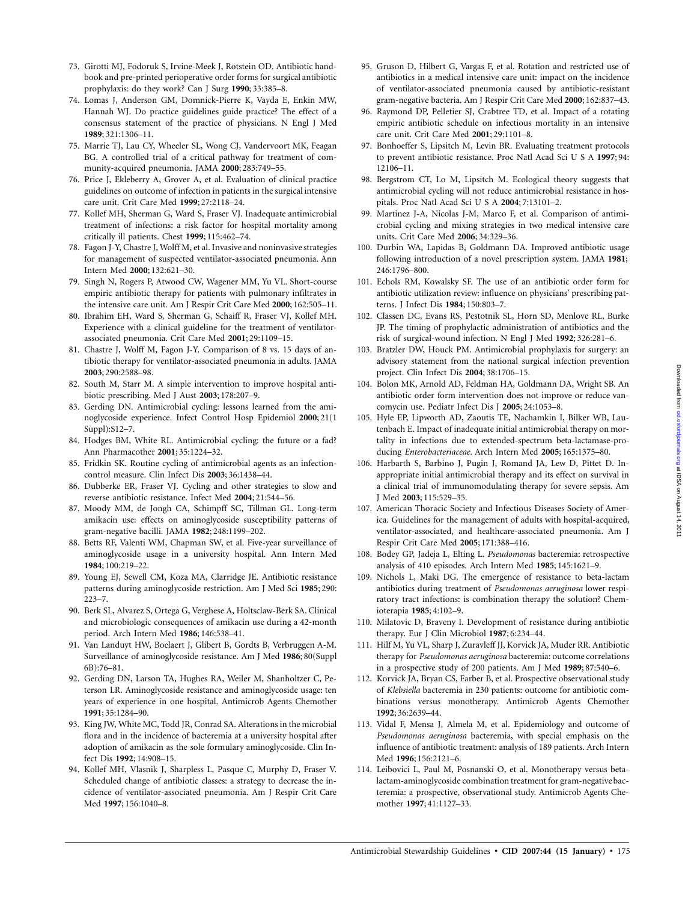- 73. Girotti MJ, Fodoruk S, Irvine-Meek J, Rotstein OD. Antibiotic handbook and pre-printed perioperative order forms for surgical antibiotic prophylaxis: do they work? Can J Surg **1990**; 33:385–8.
- 74. Lomas J, Anderson GM, Domnick-Pierre K, Vayda E, Enkin MW, Hannah WJ. Do practice guidelines guide practice? The effect of a consensus statement of the practice of physicians. N Engl J Med **1989**; 321:1306–11.
- 75. Marrie TJ, Lau CY, Wheeler SL, Wong CJ, Vandervoort MK, Feagan BG. A controlled trial of a critical pathway for treatment of community-acquired pneumonia. JAMA **2000**; 283:749–55.
- 76. Price J, Ekleberry A, Grover A, et al. Evaluation of clinical practice guidelines on outcome of infection in patients in the surgical intensive care unit. Crit Care Med **1999**; 27:2118–24.
- 77. Kollef MH, Sherman G, Ward S, Fraser VJ. Inadequate antimicrobial treatment of infections: a risk factor for hospital mortality among critically ill patients. Chest **1999**; 115:462–74.
- 78. Fagon J-Y, Chastre J, Wolff M, et al. Invasive and noninvasive strategies for management of suspected ventilator-associated pneumonia. Ann Intern Med **2000**; 132:621–30.
- 79. Singh N, Rogers P, Atwood CW, Wagener MM, Yu VL. Short-course empiric antibiotic therapy for patients with pulmonary infiltrates in the intensive care unit. Am J Respir Crit Care Med **2000**; 162:505–11.
- 80. Ibrahim EH, Ward S, Sherman G, Schaiff R, Fraser VJ, Kollef MH. Experience with a clinical guideline for the treatment of ventilatorassociated pneumonia. Crit Care Med **2001**; 29:1109–15.
- 81. Chastre J, Wolff M, Fagon J-Y. Comparison of 8 vs. 15 days of antibiotic therapy for ventilator-associated pneumonia in adults. JAMA **2003**; 290:2588–98.
- 82. South M, Starr M. A simple intervention to improve hospital antibiotic prescribing. Med J Aust **2003**; 178:207–9.
- 83. Gerding DN. Antimicrobial cycling: lessons learned from the aminoglycoside experience. Infect Control Hosp Epidemiol **2000**; 21(1 Suppl):S12–7.
- 84. Hodges BM, White RL. Antimicrobial cycling: the future or a fad? Ann Pharmacother **2001**; 35:1224–32.
- 85. Fridkin SK. Routine cycling of antimicrobial agents as an infectioncontrol measure. Clin Infect Dis **2003**; 36:1438–44.
- 86. Dubberke ER, Fraser VJ. Cycling and other strategies to slow and reverse antibiotic resistance. Infect Med **2004**; 21:544–56.
- 87. Moody MM, de Jongh CA, Schimpff SC, Tillman GL. Long-term amikacin use: effects on aminoglycoside susceptibility patterns of gram-negative bacilli. JAMA **1982**; 248:1199–202.
- 88. Betts RF, Valenti WM, Chapman SW, et al. Five-year surveillance of aminoglycoside usage in a university hospital. Ann Intern Med **1984**; 100:219–22.
- 89. Young EJ, Sewell CM, Koza MA, Clarridge JE. Antibiotic resistance patterns during aminoglycoside restriction. Am J Med Sci **1985**; 290: 223–7.
- 90. Berk SL, Alvarez S, Ortega G, Verghese A, Holtsclaw-Berk SA. Clinical and microbiologic consequences of amikacin use during a 42-month period. Arch Intern Med **1986**; 146:538–41.
- 91. Van Landuyt HW, Boelaert J, Glibert B, Gordts B, Verbruggen A-M. Surveillance of aminoglycoside resistance. Am J Med **1986**; 80(Suppl 6B):76–81.
- 92. Gerding DN, Larson TA, Hughes RA, Weiler M, Shanholtzer C, Peterson LR. Aminoglycoside resistance and aminoglycoside usage: ten years of experience in one hospital. Antimicrob Agents Chemother **1991**; 35:1284–90.
- 93. King JW, White MC, Todd JR, Conrad SA. Alterations in the microbial flora and in the incidence of bacteremia at a university hospital after adoption of amikacin as the sole formulary aminoglycoside. Clin Infect Dis **1992**; 14:908–15.
- 94. Kollef MH, Vlasnik J, Sharpless L, Pasque C, Murphy D, Fraser V. Scheduled change of antibiotic classes: a strategy to decrease the incidence of ventilator-associated pneumonia. Am J Respir Crit Care Med **1997**; 156:1040–8.
- 95. Gruson D, Hilbert G, Vargas F, et al. Rotation and restricted use of antibiotics in a medical intensive care unit: impact on the incidence of ventilator-associated pneumonia caused by antibiotic-resistant gram-negative bacteria. Am J Respir Crit Care Med **2000**; 162:837–43.
- 96. Raymond DP, Pelletier SJ, Crabtree TD, et al. Impact of a rotating empiric antibiotic schedule on infectious mortality in an intensive care unit. Crit Care Med **2001**; 29:1101–8.
- 97. Bonhoeffer S, Lipsitch M, Levin BR. Evaluating treatment protocols to prevent antibiotic resistance. Proc Natl Acad Sci U S A **1997**; 94: 12106–11.
- 98. Bergstrom CT, Lo M, Lipsitch M. Ecological theory suggests that antimicrobial cycling will not reduce antimicrobial resistance in hospitals. Proc Natl Acad Sci U S A **2004**; 7:13101–2.
- 99. Martinez J-A, Nicolas J-M, Marco F, et al. Comparison of antimicrobial cycling and mixing strategies in two medical intensive care units. Crit Care Med **2006**; 34:329–36.
- 100. Durbin WA, Lapidas B, Goldmann DA. Improved antibiotic usage following introduction of a novel prescription system. JAMA **1981**; 246:1796–800.
- 101. Echols RM, Kowalsky SF. The use of an antibiotic order form for antibiotic utilization review: influence on physicians' prescribing patterns. J Infect Dis **1984**; 150:803–7.
- 102. Classen DC, Evans RS, Pestotnik SL, Horn SD, Menlove RL, Burke JP. The timing of prophylactic administration of antibiotics and the risk of surgical-wound infection. N Engl J Med **1992**; 326:281–6.
- 103. Bratzler DW, Houck PM. Antimicrobial prophylaxis for surgery: an advisory statement from the national surgical infection prevention project. Clin Infect Dis **2004**; 38:1706–15.
- 104. Bolon MK, Arnold AD, Feldman HA, Goldmann DA, Wright SB. An antibiotic order form intervention does not improve or reduce vancomycin use. Pediatr Infect Dis J **2005**; 24:1053–8.
- 105. Hyle EP, Lipworth AD, Zaoutis TE, Nachamkin I, Bilker WB, Lautenbach E. Impact of inadequate initial antimicrobial therapy on mortality in infections due to extended-spectrum beta-lactamase-producing *Enterobacteriaceae.* Arch Intern Med **2005**; 165:1375–80.
- 106. Harbarth S, Barbino J, Pugin J, Romand JA, Lew D, Pittet D. Inappropriate initial antimicrobial therapy and its effect on survival in a clinical trial of immunomodulating therapy for severe sepsis. Am J Med **2003**; 115:529–35.
- 107. American Thoracic Society and Infectious Diseases Society of America. Guidelines for the management of adults with hospital-acquired, ventilator-associated, and healthcare-associated pneumonia. Am J Respir Crit Care Med **2005**; 171:388–416.
- 108. Bodey GP, Jadeja L, Elting L. *Pseudomonas* bacteremia: retrospective analysis of 410 episodes. Arch Intern Med **1985**; 145:1621–9.
- 109. Nichols L, Maki DG. The emergence of resistance to beta-lactam antibiotics during treatment of *Pseudomonas aeruginosa* lower respiratory tract infections: is combination therapy the solution? Chemioterapia **1985**; 4:102–9.
- 110. Milatovic D, Braveny I. Development of resistance during antibiotic therapy. Eur J Clin Microbiol **1987**; 6:234–44.
- 111. Hilf M, Yu VL, Sharp J, Zuravleff JJ, Korvick JA, Muder RR. Antibiotic therapy for *Pseudomonas aeruginosa* bacteremia: outcome correlations in a prospective study of 200 patients. Am J Med **1989**; 87:540–6.
- 112. Korvick JA, Bryan CS, Farber B, et al. Prospective observational study of *Klebsiella* bacteremia in 230 patients: outcome for antibiotic combinations versus monotherapy. Antimicrob Agents Chemother **1992**; 36:2639–44.
- 113. Vidal F, Mensa J, Almela M, et al. Epidemiology and outcome of *Pseudomonas aeruginosa* bacteremia, with special emphasis on the influence of antibiotic treatment: analysis of 189 patients. Arch Intern Med **1996**; 156:2121–6.
- 114. Leibovici L, Paul M, Posnanski O, et al. Monotherapy versus betalactam-aminoglycoside combination treatment for gram-negative bacteremia: a prospective, observational study. Antimicrob Agents Chemother **1997**; 41:1127–33.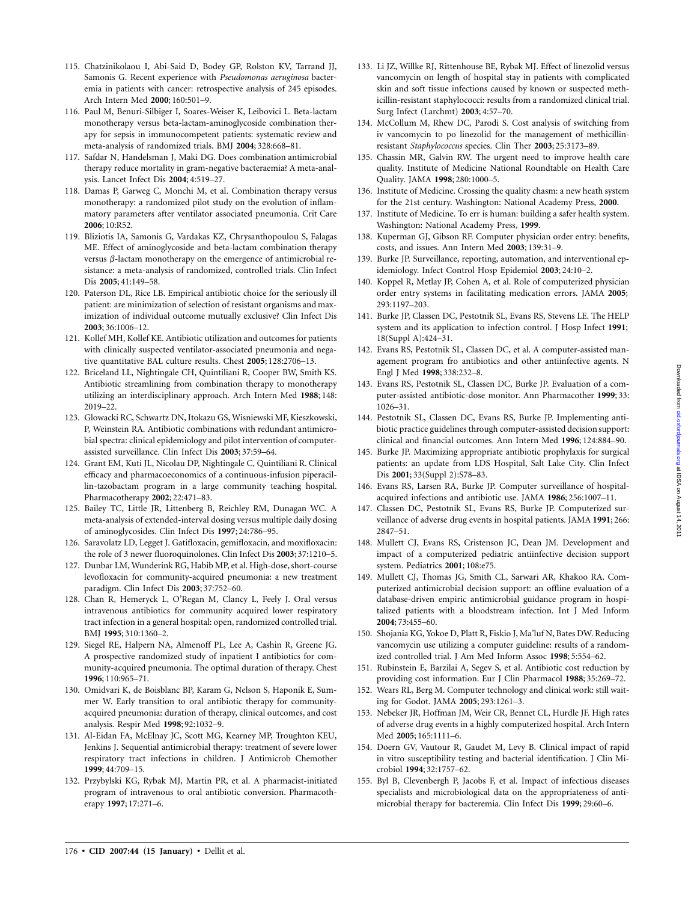- 115. Chatzinikolaou I, Abi-Said D, Bodey GP, Rolston KV, Tarrand JJ, Samonis G. Recent experience with *Pseudomonas aeruginosa* bacteremia in patients with cancer: retrospective analysis of 245 episodes. Arch Intern Med **2000**; 160:501–9.
- 116. Paul M, Benuri-Silbiger I, Soares-Weiser K, Leibovici L. Beta-lactam monotherapy versus beta-lactam-aminoglycoside combination therapy for sepsis in immunocompetent patients: systematic review and meta-analysis of randomized trials. BMJ **2004**; 328:668–81.
- 117. Safdar N, Handelsman J, Maki DG. Does combination antimicrobial therapy reduce mortality in gram-negative bacteraemia? A meta-analysis. Lancet Infect Dis **2004**; 4:519–27.
- 118. Damas P, Garweg C, Monchi M, et al. Combination therapy versus monotherapy: a randomized pilot study on the evolution of inflammatory parameters after ventilator associated pneumonia. Crit Care **2006**; 10:R52.
- 119. Bliziotis IA, Samonis G, Vardakas KZ, Chrysanthopoulou S, Falagas ME. Effect of aminoglycoside and beta-lactam combination therapy versus  $\beta$ -lactam monotherapy on the emergence of antimicrobial resistance: a meta-analysis of randomized, controlled trials. Clin Infect Dis **2005**; 41:149–58.
- 120. Paterson DL, Rice LB. Empirical antibiotic choice for the seriously ill patient: are minimization of selection of resistant organisms and maximization of individual outcome mutually exclusive? Clin Infect Dis **2003**; 36:1006–12.
- 121. Kollef MH, Kollef KE. Antibiotic utilization and outcomes for patients with clinically suspected ventilator-associated pneumonia and negative quantitative BAL culture results. Chest **2005**; 128:2706–13.
- 122. Briceland LL, Nightingale CH, Quintiliani R, Cooper BW, Smith KS. Antibiotic streamlining from combination therapy to monotherapy utilizing an interdisciplinary approach. Arch Intern Med **1988**; 148: 2019–22.
- 123. Glowacki RC, Schwartz DN, Itokazu GS, Wisniewski MF, Kieszkowski, P, Weinstein RA. Antibiotic combinations with redundant antimicrobial spectra: clinical epidemiology and pilot intervention of computerassisted surveillance. Clin Infect Dis **2003**; 37:59–64.
- 124. Grant EM, Kuti JL, Nicolau DP, Nightingale C, Quintiliani R. Clinical efficacy and pharmacoeconomics of a continuous-infusion piperacillin-tazobactam program in a large community teaching hospital. Pharmacotherapy **2002**; 22:471–83.
- 125. Bailey TC, Little JR, Littenberg B, Reichley RM, Dunagan WC. A meta-analysis of extended-interval dosing versus multiple daily dosing of aminoglycosides. Clin Infect Dis **1997**; 24:786–95.
- 126. Saravolatz LD, Legget J. Gatifloxacin, gemifloxacin, and moxifloxacin: the role of 3 newer fluoroquinolones. Clin Infect Dis **2003**; 37:1210–5.
- 127. Dunbar LM, Wunderink RG, Habib MP, et al. High-dose, short-course levofloxacin for community-acquired pneumonia: a new treatment paradigm. Clin Infect Dis **2003**; 37:752–60.
- 128. Chan R, Hemeryck L, O'Regan M, Clancy L, Feely J. Oral versus intravenous antibiotics for community acquired lower respiratory tract infection in a general hospital: open, randomized controlled trial. BMJ **1995**; 310:1360–2.
- 129. Siegel RE, Halpern NA, Almenoff PL, Lee A, Cashin R, Greene JG. A prospective randomized study of inpatient I antibiotics for community-acquired pneumonia. The optimal duration of therapy. Chest **1996**; 110:965–71.
- 130. Omidvari K, de Boisblanc BP, Karam G, Nelson S, Haponik E, Summer W. Early transition to oral antibiotic therapy for communityacquired pneumonia: duration of therapy, clinical outcomes, and cost analysis. Respir Med **1998**; 92:1032–9.
- 131. Al-Eidan FA, McElnay JC, Scott MG, Kearney MP, Troughton KEU, Jenkins J. Sequential antimicrobial therapy: treatment of severe lower respiratory tract infections in children. J Antimicrob Chemother **1999**; 44:709–15.
- 132. Przybylski KG, Rybak MJ, Martin PR, et al. A pharmacist-initiated program of intravenous to oral antibiotic conversion. Pharmacotherapy **1997**; 17:271–6.
- 133. Li JZ, Willke RJ, Rittenhouse BE, Rybak MJ. Effect of linezolid versus vancomycin on length of hospital stay in patients with complicated skin and soft tissue infections caused by known or suspected methicillin-resistant staphylococci: results from a randomized clinical trial. Surg Infect (Larchmt) **2003**; 4:57–70.
- 134. McCollum M, Rhew DC, Parodi S. Cost analysis of switching from iv vancomycin to po linezolid for the management of methicillinresistant *Staphylococcus* species. Clin Ther **2003**; 25:3173–89.
- 135. Chassin MR, Galvin RW. The urgent need to improve health care quality. Institute of Medicine National Roundtable on Health Care Quality. JAMA **1998**; 280:1000–5.
- 136. Institute of Medicine. Crossing the quality chasm: a new heath system for the 21st century. Washington: National Academy Press, **2000**.
- 137. Institute of Medicine. To err is human: building a safer health system. Washington: National Academy Press, **1999**.
- 138. Kuperman GJ, Gibson RF. Computer physician order entry: benefits, costs, and issues. Ann Intern Med **2003**; 139:31–9.
- 139. Burke JP. Surveillance, reporting, automation, and interventional epidemiology. Infect Control Hosp Epidemiol **2003**; 24:10–2.
- 140. Koppel R, Metlay JP, Cohen A, et al. Role of computerized physician order entry systems in facilitating medication errors. JAMA **2005**; 293:1197–203.
- 141. Burke JP, Classen DC, Pestotnik SL, Evans RS, Stevens LE. The HELP system and its application to infection control. J Hosp Infect **1991**; 18(Suppl A):424–31.
- 142. Evans RS, Pestotnik SL, Classen DC, et al. A computer-assisted management program fro antibiotics and other antiinfective agents. N Engl J Med **1998**; 338:232–8.
- 143. Evans RS, Pestotnik SL, Classen DC, Burke JP. Evaluation of a computer-assisted antibiotic-dose monitor. Ann Pharmacother **1999**; 33: 1026–31.
- 144. Pestotnik SL, Classen DC, Evans RS, Burke JP. Implementing antibiotic practice guidelines through computer-assisted decision support: clinical and financial outcomes. Ann Intern Med **1996**; 124:884–90.
- 145. Burke JP. Maximizing appropriate antibiotic prophylaxis for surgical patients: an update from LDS Hospital, Salt Lake City. Clin Infect Dis **2001**; 33(Suppl 2):S78–83.
- 146. Evans RS, Larsen RA, Burke JP. Computer surveillance of hospitalacquired infections and antibiotic use. JAMA **1986**; 256:1007–11.
- 147. Classen DC, Pestotnik SL, Evans RS, Burke JP. Computerized surveillance of adverse drug events in hospital patients. JAMA **1991**; 266: 2847–51.
- 148. Mullett CJ, Evans RS, Cristenson JC, Dean JM. Development and impact of a computerized pediatric antiinfective decision support system. Pediatrics **2001**; 108:e75.
- 149. Mullett CJ, Thomas JG, Smith CL, Sarwari AR, Khakoo RA. Computerized antimicrobial decision support: an offline evaluation of a database-driven empiric antimicrobial guidance program in hospitalized patients with a bloodstream infection. Int J Med Inform **2004**; 73:455–60.
- 150. Shojania KG, Yokoe D, Platt R, Fiskio J, Ma'luf N, Bates DW. Reducing vancomycin use utilizing a computer guideline: results of a randomized controlled trial. J Am Med Inform Assoc **1998**; 5:554–62.
- 151. Rubinstein E, Barzilai A, Segev S, et al. Antibiotic cost reduction by providing cost information. Eur J Clin Pharmacol **1988**; 35:269–72.
- 152. Wears RL, Berg M. Computer technology and clinical work: still waiting for Godot. JAMA **2005**; 293:1261–3.
- 153. Nebeker JR, Hoffman JM, Weir CR, Bennet CL, Hurdle JF. High rates of adverse drug events in a highly computerized hospital. Arch Intern Med **2005**; 165:1111–6.
- 154. Doern GV, Vautour R, Gaudet M, Levy B. Clinical impact of rapid in vitro susceptibility testing and bacterial identification. J Clin Microbiol **1994**; 32:1757–62.
- 155. Byl B, Clevenbergh P, Jacobs F, et al. Impact of infectious diseases specialists and microbiological data on the appropriateness of antimicrobial therapy for bacteremia. Clin Infect Dis **1999**; 29:60–6.